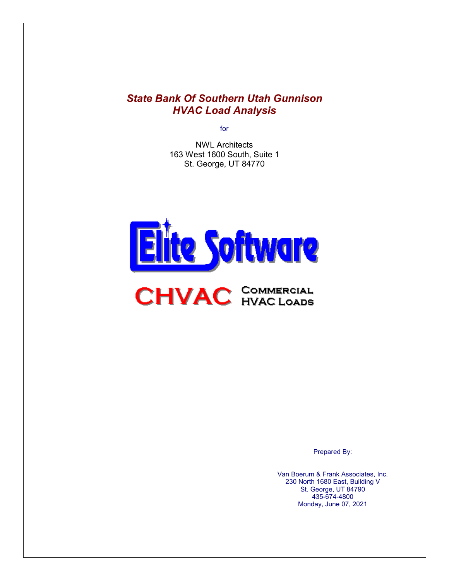## *State Bank Of Southern Utah Gunnison HVAC Load Analysis*

for

NWL Architects 163 West 1600 South, Suite 1 St. George, UT 84770





Prepared By:

Van Boerum & Frank Associates, Inc. 230 North 1680 East, Building V St. George, UT 84790 435-674-4800 Monday, June 07, 2021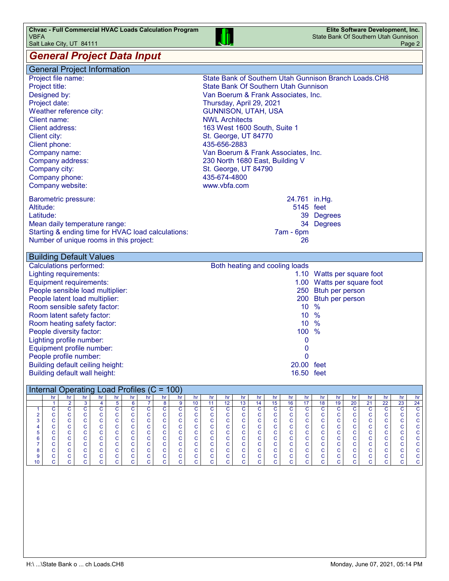

#### *General Project Data Input*

ī

| <b>General Project Information</b>                                                                   |                                                                                                                                                                          |  |  |  |  |
|------------------------------------------------------------------------------------------------------|--------------------------------------------------------------------------------------------------------------------------------------------------------------------------|--|--|--|--|
| Project file name:                                                                                   | State Bank of Southern Utah Gunnison Branch Loads. CH8                                                                                                                   |  |  |  |  |
| Project title:                                                                                       | <b>State Bank Of Southern Utah Gunnison</b>                                                                                                                              |  |  |  |  |
| Designed by:                                                                                         | Van Boerum & Frank Associates, Inc.                                                                                                                                      |  |  |  |  |
| Project date:                                                                                        | Thursday, April 29, 2021                                                                                                                                                 |  |  |  |  |
| Weather reference city:                                                                              | <b>GUNNISON, UTAH, USA</b>                                                                                                                                               |  |  |  |  |
| <b>Client name:</b>                                                                                  | <b>NWL Architects</b>                                                                                                                                                    |  |  |  |  |
| Client address:                                                                                      | 163 West 1600 South, Suite 1                                                                                                                                             |  |  |  |  |
| Client city:                                                                                         | St. George, UT 84770                                                                                                                                                     |  |  |  |  |
| Client phone:                                                                                        | 435-656-2883                                                                                                                                                             |  |  |  |  |
| Company name:                                                                                        | Van Boerum & Frank Associates, Inc.                                                                                                                                      |  |  |  |  |
| Company address:                                                                                     | 230 North 1680 East, Building V                                                                                                                                          |  |  |  |  |
| Company city:                                                                                        | St. George, UT 84790                                                                                                                                                     |  |  |  |  |
| Company phone:                                                                                       | 435-674-4800                                                                                                                                                             |  |  |  |  |
| Company website:                                                                                     | www.vbfa.com                                                                                                                                                             |  |  |  |  |
| <b>Barometric pressure:</b>                                                                          | 24.761 in.Hg.                                                                                                                                                            |  |  |  |  |
| Altitude:                                                                                            | 5145 feet                                                                                                                                                                |  |  |  |  |
| Latitude:                                                                                            | 39 Degrees                                                                                                                                                               |  |  |  |  |
| Mean daily temperature range:                                                                        | 34 Degrees                                                                                                                                                               |  |  |  |  |
| Starting & ending time for HVAC load calculations:                                                   | 7am - 6pm                                                                                                                                                                |  |  |  |  |
| Number of unique rooms in this project:                                                              | 26                                                                                                                                                                       |  |  |  |  |
|                                                                                                      |                                                                                                                                                                          |  |  |  |  |
| <b>Building Default Values</b>                                                                       |                                                                                                                                                                          |  |  |  |  |
| <b>Calculations performed:</b>                                                                       | Both heating and cooling loads                                                                                                                                           |  |  |  |  |
| <b>Lighting requirements:</b>                                                                        | 1.10 Watts per square foot                                                                                                                                               |  |  |  |  |
| Equipment requirements:                                                                              | 1.00 Watts per square foot                                                                                                                                               |  |  |  |  |
|                                                                                                      |                                                                                                                                                                          |  |  |  |  |
|                                                                                                      |                                                                                                                                                                          |  |  |  |  |
| People sensible load multiplier:<br>People latent load multiplier:                                   | 250 Btuh per person<br>200 Btuh per person                                                                                                                               |  |  |  |  |
| Room sensible safety factor:                                                                         | 10 %                                                                                                                                                                     |  |  |  |  |
| Room latent safety factor:                                                                           | 10 %                                                                                                                                                                     |  |  |  |  |
| Room heating safety factor:                                                                          | 10 %                                                                                                                                                                     |  |  |  |  |
| People diversity factor:                                                                             | 100 %                                                                                                                                                                    |  |  |  |  |
| Lighting profile number:                                                                             | 0                                                                                                                                                                        |  |  |  |  |
| Equipment profile number:                                                                            | $\mathbf 0$                                                                                                                                                              |  |  |  |  |
| People profile number:                                                                               | 0                                                                                                                                                                        |  |  |  |  |
| Building default ceiling height:                                                                     | 20.00 feet                                                                                                                                                               |  |  |  |  |
| Building default wall height:                                                                        | 16.50 feet                                                                                                                                                               |  |  |  |  |
| Internal Operating Load Profiles (C = 100)                                                           |                                                                                                                                                                          |  |  |  |  |
| hr                                                                                                   | hr<br>hr                                                                                                                                                                 |  |  |  |  |
|                                                                                                      |                                                                                                                                                                          |  |  |  |  |
|                                                                                                      |                                                                                                                                                                          |  |  |  |  |
|                                                                                                      |                                                                                                                                                                          |  |  |  |  |
|                                                                                                      | $\frac{\text{hr}}{\text{15}}$ $\frac{\text{15}}{\text{C}}$ $\frac{\text{15}}{\text{C}}$ $\frac{\text{15}}{\text{C}}$<br>$\mathbf C$                                      |  |  |  |  |
|                                                                                                      |                                                                                                                                                                          |  |  |  |  |
|                                                                                                      |                                                                                                                                                                          |  |  |  |  |
| 123456789                                                                                            | c<br>c                                                                                                                                                                   |  |  |  |  |
| $\frac{ \mathsf{a} }{ \mathsf{c} }$<br>coooooooooo<br>coooooooooo<br>oooooooooo<br>COOOOOOOOOO<br>10 | $\frac{h}{14}$ $\frac{1}{14}$ $c$ $c$ $c$ $c$ $c$ $c$<br>ooooooooooo<br>coooooooooo<br>$\frac{hr}{c}$ $\frac{24}{c}$ $\frac{1}{c}$ $\frac{1}{c}$<br>cccc<br>$\mathsf{C}$ |  |  |  |  |
|                                                                                                      |                                                                                                                                                                          |  |  |  |  |
|                                                                                                      |                                                                                                                                                                          |  |  |  |  |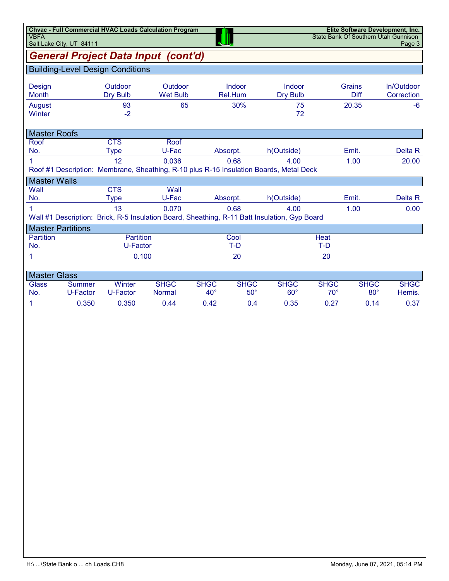| <b>VBFA</b>                             | <b>Chvac - Full Commercial HVAC Loads Calculation Program</b><br>Elite Software Development, Inc.<br>State Bank Of Southern Utah Gunnison<br>Salt Lake City, UT 84111 |                                        |                              |                             |                           |                                                                                                      |                             |                           |                          |  |  |
|-----------------------------------------|-----------------------------------------------------------------------------------------------------------------------------------------------------------------------|----------------------------------------|------------------------------|-----------------------------|---------------------------|------------------------------------------------------------------------------------------------------|-----------------------------|---------------------------|--------------------------|--|--|
| General Project Data Input (cont'd)     |                                                                                                                                                                       |                                        |                              |                             |                           |                                                                                                      |                             |                           |                          |  |  |
| <b>Building-Level Design Conditions</b> |                                                                                                                                                                       |                                        |                              |                             |                           |                                                                                                      |                             |                           |                          |  |  |
| Design<br>Month                         |                                                                                                                                                                       | Outdoor<br><b>Dry Bulb</b>             | Outdoor<br><b>Wet Bulb</b>   |                             | Indoor<br>Rel.Hum         | Indoor<br><b>Dry Bulb</b>                                                                            |                             | Grains<br>Diff            | In/Outdoor<br>Correction |  |  |
| August<br>Winter                        |                                                                                                                                                                       | 93<br>$-2$                             | 65                           |                             | 30%                       | 75<br>72                                                                                             |                             | 20.35                     | $-6$                     |  |  |
| <b>Master Roofs</b>                     |                                                                                                                                                                       |                                        |                              |                             |                           |                                                                                                      |                             |                           |                          |  |  |
| Roof<br>No.                             |                                                                                                                                                                       | <b>CTS</b><br><b>Type</b>              | Roof<br>U-Fac                |                             | Absorpt.                  | h(Outside)                                                                                           |                             | Emit.                     | Delta R                  |  |  |
|                                         |                                                                                                                                                                       | 12                                     | 0.036                        |                             | 0.68                      | 4.00<br>Roof #1 Description: Membrane, Sheathing, R-10 plus R-15 Insulation Boards, Metal Deck       |                             | 1.00                      | 20.00                    |  |  |
| <b>Master Walls</b>                     |                                                                                                                                                                       |                                        |                              |                             |                           |                                                                                                      |                             |                           |                          |  |  |
| Wall<br>No.                             |                                                                                                                                                                       | $\overline{\text{CTS}}$<br><b>Type</b> | Wall<br>U-Fac                |                             | Absorpt.                  | h(Outside)                                                                                           |                             | Emit.                     | Delta R                  |  |  |
| 1                                       |                                                                                                                                                                       | 13                                     | 0.070                        |                             | 0.68                      | 4.00<br>Wall #1 Description: Brick, R-5 Insulation Board, Sheathing, R-11 Batt Insulation, Gyp Board |                             | 1.00                      | 0.00                     |  |  |
|                                         | <b>Master Partitions</b>                                                                                                                                              |                                        |                              |                             |                           |                                                                                                      |                             |                           |                          |  |  |
| <b>Partition</b><br>No.                 |                                                                                                                                                                       | Partition<br>U-Factor                  |                              |                             | Cool<br>T-D               |                                                                                                      | Heat<br>T-D                 |                           |                          |  |  |
| 1                                       |                                                                                                                                                                       |                                        | 0.100                        |                             | 20                        |                                                                                                      | 20                          |                           |                          |  |  |
| <b>Master Glass</b>                     |                                                                                                                                                                       |                                        |                              |                             |                           |                                                                                                      |                             |                           |                          |  |  |
| <b>Glass</b><br>No.                     | <b>Summer</b><br>U-Factor                                                                                                                                             | Winter<br>U-Factor                     | <b>SHGC</b><br><b>Normal</b> | <b>SHGC</b><br>$40^{\circ}$ | <b>SHGC</b><br>$50^\circ$ | <b>SHGC</b><br>$60^\circ$                                                                            | <b>SHGC</b><br>$70^{\circ}$ | <b>SHGC</b><br>$80^\circ$ | <b>SHGC</b><br>Hemis.    |  |  |
| 1                                       | 0.350                                                                                                                                                                 | 0.350                                  | 0.44                         | 0.42                        | 0.4                       | 0.35                                                                                                 | 0.27                        | 0.14                      | 0.37                     |  |  |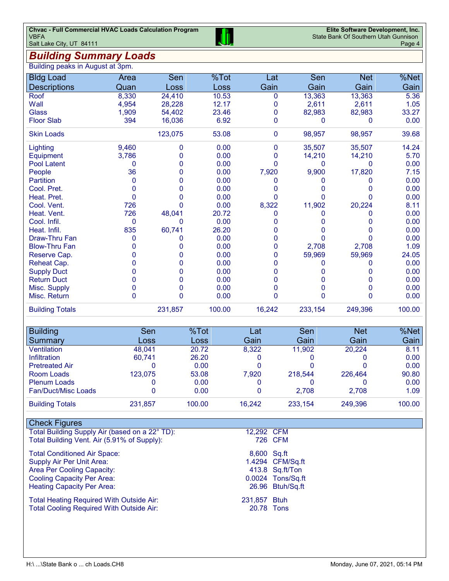### *Building Summary Loads*

| Building peaks in August at 3pm. |       |          |        |             |         |            |        |
|----------------------------------|-------|----------|--------|-------------|---------|------------|--------|
| <b>Bldg Load</b>                 | Area  | Sen      | %Tot   | Lat         | Sen     | <b>Net</b> | %Net   |
| <b>Descriptions</b>              | Quan  | Loss     | Loss   | Gain        | Gain    | Gain       | Gain   |
| Roof                             | 8,330 | 24,410   | 10.53  | 0           | 13,363  | 13,363     | 5.36   |
| Wall                             | 4,954 | 28,228   | 12.17  | 0           | 2,611   | 2,611      | 1.05   |
| <b>Glass</b>                     | 1,909 | 54,402   | 23.46  | 0           | 82,983  | 82,983     | 33.27  |
| <b>Floor Slab</b>                | 394   | 16,036   | 6.92   | 0           | 0       | 0          | 0.00   |
| <b>Skin Loads</b>                |       | 123,075  | 53.08  | $\mathbf 0$ | 98,957  | 98,957     | 39.68  |
| Lighting                         | 9,460 | 0        | 0.00   | 0           | 35,507  | 35,507     | 14.24  |
| Equipment                        | 3,786 | O        | 0.00   | 0           | 14,210  | 14,210     | 5.70   |
| <b>Pool Latent</b>               | 0     | O        | 0.00   | O           | 0       | O          | 0.00   |
| People                           | 36    | 0        | 0.00   | 7,920       | 9,900   | 17,820     | 7.15   |
| <b>Partition</b>                 | 0     | O        | 0.00   | 0           |         | O          | 0.00   |
| Cool. Pret.                      | 0     | 0        | 0.00   | 0           |         |            | 0.00   |
| Heat. Pret.                      | 0     | O        | 0.00   | O           | U       | O          | 0.00   |
| Cool. Vent.                      | 726   | O        | 0.00   | 8,322       | 11,902  | 20,224     | 8.11   |
| Heat. Vent.                      | 726   | 48,041   | 20.72  | 0           | 0       | O          | 0.00   |
| Cool. Infil.                     | 0     | 0        | 0.00   | O           |         | O          | 0.00   |
| Heat. Infil.                     | 835   | 60,741   | 26.20  | 0           | 0       | 0          | 0.00   |
| Draw-Thru Fan                    | 0     | 0        | 0.00   | 0           | 0       | O          | 0.00   |
| <b>Blow-Thru Fan</b>             | 0     | 0        | 0.00   | 0           | 2,708   | 2,708      | 1.09   |
| Reserve Cap.                     | 0     | O        | 0.00   | 0           | 59,969  | 59,969     | 24.05  |
| Reheat Cap.                      |       | O        | 0.00   | 0           | 0       | O          | 0.00   |
| <b>Supply Duct</b>               | O     | O        | 0.00   | 0           | 0       | O          | 0.00   |
| <b>Return Duct</b>               | 0     | 0        | 0.00   | 0           | 0       | 0          | 0.00   |
| Misc. Supply                     | 0     | 0        | 0.00   | 0           | 0       | 0          | 0.00   |
| Misc. Return                     | 0     | $\Omega$ | 0.00   | 0           | 0       | O          | 0.00   |
| <b>Building Totals</b>           |       | 231,857  | 100.00 | 16,242      | 233,154 | 249,396    | 100.00 |

| <b>Building</b>            | Sen     | %Tot        | Lat    | Sen     | <b>Net</b> | %Net   |
|----------------------------|---------|-------------|--------|---------|------------|--------|
| Summary                    | Loss    | <b>Loss</b> | Gain   | Gain    | Gain       | Gain   |
| Ventilation                | 48.041  | 20.72       | 8,322  | 11,902  | 20.224     | 8.11   |
| Infiltration               | 60.741  | 26.20       |        |         |            | 0.00   |
| <b>Pretreated Air</b>      |         | 0.00        |        |         |            | 0.00   |
| Room Loads                 | 123.075 | 53.08       | 7.920  | 218.544 | 226.464    | 90.80  |
| <b>Plenum Loads</b>        |         | 0.00        |        |         |            | 0.00   |
| <b>Fan/Duct/Misc Loads</b> |         | 0.00        |        | 2.708   | 2.708      | 1.09   |
| <b>Building Totals</b>     | 231,857 | 100.00      | 16,242 | 233.154 | 249.396    | 100.00 |

### Check Figures

L

| Total Building Supply Air (based on a 22° TD): | 12.292 CFM  |                  |
|------------------------------------------------|-------------|------------------|
| Total Building Vent. Air (5.91% of Supply):    |             | 726 CFM          |
| <b>Total Conditioned Air Space:</b>            | 8.600 Sa.ft |                  |
| Supply Air Per Unit Area:                      |             | 1.4294 CFM/Sq.ft |

Area Per Cooling Capacity: 413.8 Sq.ft/Ton Cooling Capacity Per Area: 0.0024 Tons/Sq.ft Heating Capacity Per Area: 26.96 Btuh/Sq.ft

Total Heating Required With Outside Air: 231,857 Btuh<br>Total Cooling Required With Outside Air: 20.78 Tons Total Cooling Required With Outside Air:

| <b>CFM</b>  |
|-------------|
| <b>CFM</b>  |
| Sq.ft       |
| CFM/Sq.     |
| Sq.ft/Tor   |
| Tons/Sq.    |
| Btuh/Sq.    |
| <b>Btuh</b> |
|             |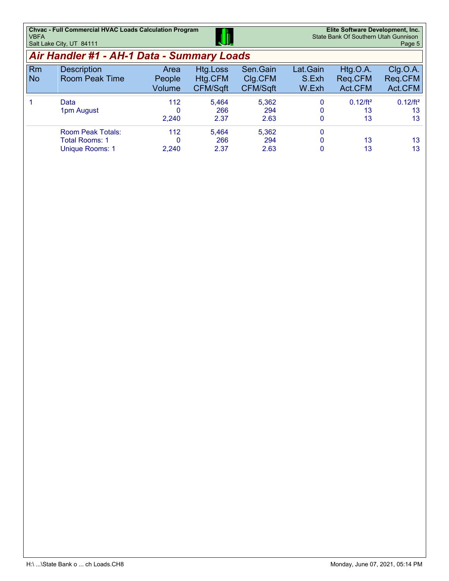| <b>Chyac - Full Commercial HVAC Loads Calculation Program</b> |     | Elite Software Development, Inc.     |
|---------------------------------------------------------------|-----|--------------------------------------|
| <b>VBFA</b>                                                   | JI. | State Bank Of Southern Utah Gunnison |
| Salt Lake City, UT 84111                                      |     | Page 5                               |

# *Air Handler #1 - AH-1 Data - Summary Loads*

|                 | , ,,, ,,,,,,,,,,,,,,,,<br>, ,, , , , , ,<br>-----             |                          |                                 |                                        |                            |                                |                                |  |  |  |  |
|-----------------|---------------------------------------------------------------|--------------------------|---------------------------------|----------------------------------------|----------------------------|--------------------------------|--------------------------------|--|--|--|--|
| Rm<br><b>No</b> | <b>Description</b><br><b>Room Peak Time</b>                   | Area<br>People<br>Volume | Htg.Loss<br>Htg.CFM<br>CFM/Sqft | Sen.Gain<br>Clg.CFM<br><b>CFM/Sqft</b> | Lat.Gain<br>S.Exh<br>W.Exh | Htg.O.A.<br>Reg.CFM<br>Act.CFM | Clg.O.A.<br>Reg.CFM<br>Act.CFM |  |  |  |  |
|                 | Data<br>1pm August                                            | 112<br>0<br>2,240        | 5.464<br>266<br>2.37            | 5,362<br>294<br>2.63                   | 0<br>0<br>0                | $0.12/ft^2$<br>13<br>13        | $0.12/ft^2$<br>13<br>13        |  |  |  |  |
|                 | <b>Room Peak Totals:</b><br>Total Rooms: 1<br>Unique Rooms: 1 | 112<br>0<br>2,240        | 5.464<br>266<br>2.37            | 5,362<br>294<br>2.63                   | 0<br>0<br>0                | 13<br>13                       | 13<br>13                       |  |  |  |  |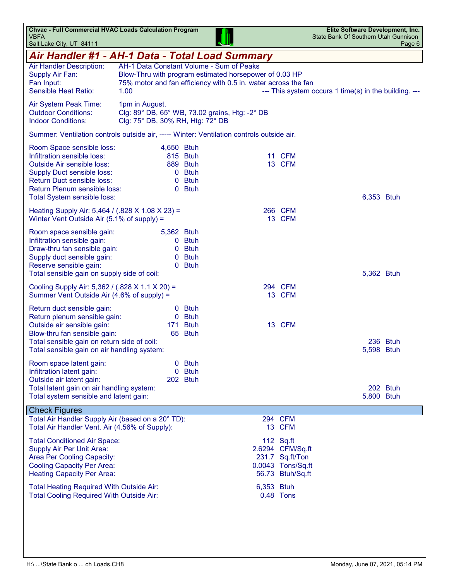| <b>Chvac - Full Commercial HVAC Loads Calculation Program</b><br><b>VBFA</b><br>Salt Lake City, UT 84111                                                                                                                        |                                                                                                                                                                              |                                                         |            |                                                                                           | Elite Software Development, Inc.<br>State Bank Of Southern Utah Gunnison | Page 6                 |
|---------------------------------------------------------------------------------------------------------------------------------------------------------------------------------------------------------------------------------|------------------------------------------------------------------------------------------------------------------------------------------------------------------------------|---------------------------------------------------------|------------|-------------------------------------------------------------------------------------------|--------------------------------------------------------------------------|------------------------|
| Air Handler #1 - AH-1 Data - Total Load Summary                                                                                                                                                                                 |                                                                                                                                                                              |                                                         |            |                                                                                           |                                                                          |                        |
| Air Handler Description:<br>Supply Air Fan:<br>Fan Input:<br><b>Sensible Heat Ratio:</b>                                                                                                                                        | AH-1 Data Constant Volume - Sum of Peaks<br>Blow-Thru with program estimated horsepower of 0.03 HP<br>75% motor and fan efficiency with 0.5 in. water across the fan<br>1.00 |                                                         |            |                                                                                           | --- This system occurs 1 time(s) in the building. ---                    |                        |
| Air System Peak Time:<br><b>Outdoor Conditions:</b><br><b>Indoor Conditions:</b>                                                                                                                                                | 1pm in August.<br>Clg: 89° DB, 65° WB, 73.02 grains, Htg: -2° DB<br>Clg: 75° DB, 30% RH, Htg: 72° DB                                                                         |                                                         |            |                                                                                           |                                                                          |                        |
| Summer: Ventilation controls outside air, ----- Winter: Ventilation controls outside air.                                                                                                                                       |                                                                                                                                                                              |                                                         |            |                                                                                           |                                                                          |                        |
| Room Space sensible loss:<br>Infiltration sensible loss:<br><b>Outside Air sensible loss:</b><br><b>Supply Duct sensible loss:</b><br>Return Duct sensible loss:<br>Return Plenum sensible loss:<br>Total System sensible loss: | 4,650 Btuh<br>$\mathbf{0}$                                                                                                                                                   | 815 Btuh<br>889 Btuh<br>0 Btuh<br><b>Btuh</b><br>0 Btuh |            | 11 CFM<br>13 CFM                                                                          |                                                                          | 6,353 Btuh             |
| Heating Supply Air: 5,464 / (.828 X 1.08 X 23) =<br>Winter Vent Outside Air (5.1% of supply) =                                                                                                                                  |                                                                                                                                                                              |                                                         |            | 266 CFM<br>13 CFM                                                                         |                                                                          |                        |
| Room space sensible gain:<br>Infiltration sensible gain:<br>Draw-thru fan sensible gain:<br>Supply duct sensible gain:<br>Reserve sensible gain:<br>Total sensible gain on supply side of coil:                                 | 5,362 Btuh                                                                                                                                                                   | 0 Btuh<br>0 Btuh<br>0 Btuh<br>0 Btuh                    |            |                                                                                           |                                                                          | 5,362 Btuh             |
| Cooling Supply Air: 5,362 / (.828 X 1.1 X 20) =<br>Summer Vent Outside Air (4.6% of supply) =                                                                                                                                   |                                                                                                                                                                              |                                                         |            | 294 CFM<br>13 CFM                                                                         |                                                                          |                        |
| Return duct sensible gain:<br>Return plenum sensible gain:<br>Outside air sensible gain:<br>Blow-thru fan sensible gain:<br>Total sensible gain on return side of coil:<br>Total sensible gain on air handling system:          | 0<br>171                                                                                                                                                                     | <b>Btuh</b><br>0 Btuh<br><b>Btuh</b><br>65 Btuh         |            | 13 CFM                                                                                    |                                                                          | 236 Btuh<br>5,598 Btuh |
| Room space latent gain:<br>Infiltration latent gain:<br>Outside air latent gain:<br>Total latent gain on air handling system:<br>Total system sensible and latent gain:                                                         |                                                                                                                                                                              | 0 Btuh<br>0 Btuh<br>202 Btuh                            |            |                                                                                           |                                                                          | 202 Btuh<br>5,800 Btuh |
| <b>Check Figures</b><br>Total Air Handler Supply Air (based on a 20° TD):                                                                                                                                                       |                                                                                                                                                                              |                                                         |            | 294 CFM                                                                                   |                                                                          |                        |
| Total Air Handler Vent. Air (4.56% of Supply):                                                                                                                                                                                  |                                                                                                                                                                              |                                                         |            | 13 CFM                                                                                    |                                                                          |                        |
| <b>Total Conditioned Air Space:</b><br>Supply Air Per Unit Area:<br>Area Per Cooling Capacity:<br><b>Cooling Capacity Per Area:</b><br><b>Heating Capacity Per Area:</b>                                                        |                                                                                                                                                                              |                                                         |            | 112 Sq.ft<br>2.6294 CFM/Sq.ft<br>231.7 Sq.ft/Ton<br>0.0043 Tons/Sq.ft<br>56.73 Btuh/Sq.ft |                                                                          |                        |
| Total Heating Required With Outside Air:<br><b>Total Cooling Required With Outside Air:</b>                                                                                                                                     |                                                                                                                                                                              |                                                         | 6,353 Btuh | 0.48 Tons                                                                                 |                                                                          |                        |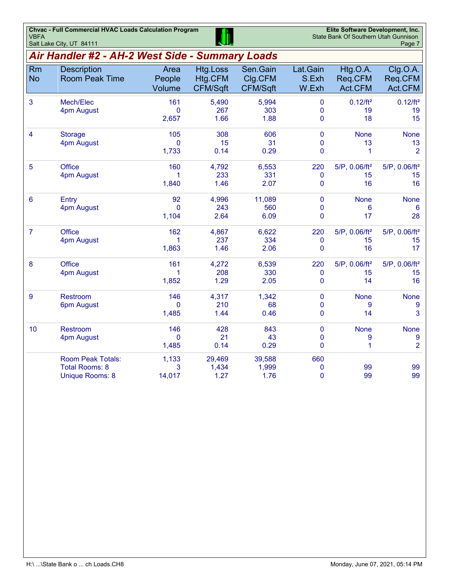| <b>VBFA</b>            | <b>Chvac - Full Commercial HVAC Loads Calculation Program</b><br>Salt Lake City, UT 84111 |                             | Elite Software Development, Inc.<br>State Bank Of Southern Utah Gunnison | Page 7                          |                                           |                                       |                                          |
|------------------------|-------------------------------------------------------------------------------------------|-----------------------------|--------------------------------------------------------------------------|---------------------------------|-------------------------------------------|---------------------------------------|------------------------------------------|
|                        | Air Handler #2 - AH-2 West Side - Summary Loads                                           |                             |                                                                          |                                 |                                           |                                       |                                          |
| <b>Rm</b><br><b>No</b> | <b>Description</b><br><b>Room Peak Time</b>                                               | Area<br>People<br>Volume    | <b>Htg.Loss</b><br>Htg.CFM<br>CFM/Sqft                                   | Sen.Gain<br>Clg.CFM<br>CFM/Sqft | Lat.Gain<br>S.Exh<br>W.Exh                | Htg.O.A.<br>Req.CFM<br>Act.CFM        | Clg.O.A.<br>Req.CFM<br>Act.CFM           |
| 3                      | Mech/Elec<br>4pm August                                                                   | 161<br>$\Omega$<br>2,657    | 5,490<br>267<br>1.66                                                     | 5,994<br>303<br>1.88            | $\mathbf 0$<br>$\mathbf 0$<br>$\mathbf 0$ | $0.12/ft^2$<br>19<br>18               | $0.12/ft^2$<br>19<br>15                  |
| 4                      | <b>Storage</b><br>4pm August                                                              | 105<br>0<br>1,733           | 308<br>15<br>0.14                                                        | 606<br>31<br>0.29               | $\mathbf 0$<br>$\mathbf 0$<br>0           | <b>None</b><br>13<br>1                | <b>None</b><br>13<br>$\overline{2}$      |
| 5                      | <b>Office</b><br>4pm August                                                               | 160<br>1<br>1,840           | 4,792<br>233<br>1.46                                                     | 6,553<br>331<br>2.07            | 220<br>$\pmb{0}$<br>0                     | 5/P, 0.06/ft <sup>2</sup><br>15<br>16 | 5/P, 0.06/ft <sup>2</sup><br>15<br>16    |
| 6                      | Entry<br>4pm August                                                                       | 92<br>$\mathbf{0}$<br>1,104 | 4,996<br>243<br>2.64                                                     | 11,089<br>560<br>6.09           | $\pmb{0}$<br>$\mathbf{0}$<br>$\mathbf 0$  | <b>None</b><br>6<br>17                | <b>None</b><br>6<br>28                   |
| $\overline{7}$         | <b>Office</b><br>4pm August                                                               | 162<br>1<br>1,863           | 4,867<br>237<br>1.46                                                     | 6,622<br>334<br>2.06            | 220<br>$\pmb{0}$<br>$\mathbf{0}$          | 5/P, 0.06/ft <sup>2</sup><br>15<br>16 | 5/P, 0.06/ft <sup>2</sup><br>15<br>17    |
| 8                      | <b>Office</b><br>4pm August                                                               | 161<br>1<br>1,852           | 4,272<br>208<br>1.29                                                     | 6,539<br>330<br>2.05            | 220<br>$\mathbf{0}$<br>$\mathbf{0}$       | 5/P, 0.06/ft <sup>2</sup><br>15<br>14 | $5/P$ , 0.06/ft <sup>2</sup><br>15<br>16 |
| 9                      | Restroom<br>6pm August                                                                    | 146<br>$\Omega$<br>1,485    | 4,317<br>210<br>1.44                                                     | 1,342<br>68<br>0.46             | $\pmb{0}$<br>$\mathbf{0}$<br>$\pmb{0}$    | <b>None</b><br>9<br>14                | <b>None</b><br>9<br>3                    |
| 10                     | <b>Restroom</b><br>4pm August                                                             | 146<br>0<br>1,485           | 428<br>21<br>0.14                                                        | 843<br>43<br>0.29               | $\pmb{0}$<br>$\mathbf 0$<br>$\mathbf{0}$  | <b>None</b><br>9<br>1                 | <b>None</b><br>9<br>$\overline{2}$       |
|                        | <b>Room Peak Totals:</b><br><b>Total Rooms: 8</b><br><b>Unique Rooms: 8</b>               | 1,133<br>3<br>14,017        | 29,469<br>1,434<br>1.27                                                  | 39,588<br>1,999<br>1.76         | 660<br>0<br>$\mathbf{0}$                  | 99<br>99                              | 99<br>99                                 |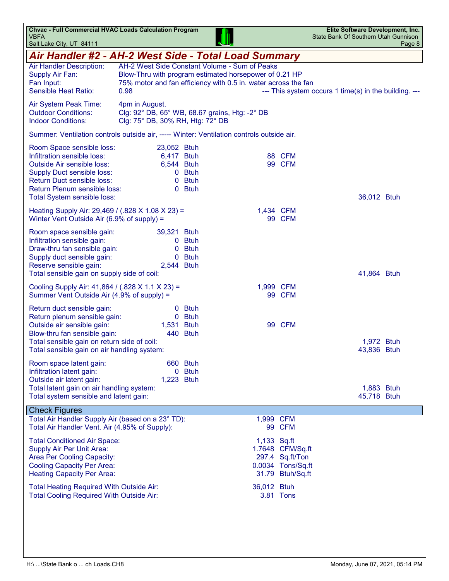| <b>Chvac - Full Commercial HVAC Loads Calculation Program</b><br><b>VBFA</b><br>Salt Lake City, UT 84111                                                                                                                               |                                                                                                                                                                                   |                                 |             |                                                                              | Elite Software Development, Inc.<br>State Bank Of Southern Utah Gunnison | Page 8 |
|----------------------------------------------------------------------------------------------------------------------------------------------------------------------------------------------------------------------------------------|-----------------------------------------------------------------------------------------------------------------------------------------------------------------------------------|---------------------------------|-------------|------------------------------------------------------------------------------|--------------------------------------------------------------------------|--------|
| Air Handler #2 - AH-2 West Side - Total Load Summary                                                                                                                                                                                   |                                                                                                                                                                                   |                                 |             |                                                                              |                                                                          |        |
| Air Handler Description:<br>Supply Air Fan:<br>Fan Input:<br>Sensible Heat Ratio:                                                                                                                                                      | AH-2 West Side Constant Volume - Sum of Peaks<br>Blow-Thru with program estimated horsepower of 0.21 HP<br>75% motor and fan efficiency with 0.5 in. water across the fan<br>0.98 |                                 |             |                                                                              | --- This system occurs 1 time(s) in the building. ---                    |        |
| Air System Peak Time:<br><b>Outdoor Conditions:</b><br><b>Indoor Conditions:</b>                                                                                                                                                       | 4pm in August.<br>Clg: 92° DB, 65° WB, 68.67 grains, Htg: -2° DB<br>Clg: 75° DB, 30% RH, Htg: 72° DB                                                                              |                                 |             |                                                                              |                                                                          |        |
| Summer: Ventilation controls outside air, ----- Winter: Ventilation controls outside air.                                                                                                                                              |                                                                                                                                                                                   |                                 |             |                                                                              |                                                                          |        |
| Room Space sensible loss:<br>Infiltration sensible loss:<br><b>Outside Air sensible loss:</b><br><b>Supply Duct sensible loss:</b><br><b>Return Duct sensible loss:</b><br>Return Plenum sensible loss:<br>Total System sensible loss: | 23,052 Btuh<br>6,417 Btuh<br>6,544 Btuh                                                                                                                                           | 0 Btuh<br>0 Btuh<br>0 Btuh      |             | 88 CFM<br>99 CFM                                                             | 36,012 Btuh                                                              |        |
| Heating Supply Air: 29,469 / (.828 X 1.08 X 23) =<br>Winter Vent Outside Air (6.9% of supply) =                                                                                                                                        |                                                                                                                                                                                   |                                 | 1,434 CFM   | 99 CFM                                                                       |                                                                          |        |
| Room space sensible gain:<br>Infiltration sensible gain:<br>Draw-thru fan sensible gain:<br>Supply duct sensible gain:<br>Reserve sensible gain:<br>Total sensible gain on supply side of coil:                                        | 39,321 Btuh<br>0<br>2,544 Btuh                                                                                                                                                    | 0 Btuh<br><b>Btuh</b><br>0 Btuh |             |                                                                              | 41,864 Btuh                                                              |        |
| Cooling Supply Air: 41,864 / (.828 X 1.1 X 23) =<br>Summer Vent Outside Air (4.9% of supply) =                                                                                                                                         |                                                                                                                                                                                   |                                 | 1,999 CFM   | 99 CFM                                                                       |                                                                          |        |
| Return duct sensible gain:<br>Return plenum sensible gain:<br>Outside air sensible gain:<br>Blow-thru fan sensible gain:<br>Total sensible gain on return side of coil:<br>Total sensible gain on air handling system:                 | 1,531 Btuh                                                                                                                                                                        | 0 Btuh<br>0 Btuh<br>440 Btuh    |             | 99 CFM                                                                       | 1,972 Btuh<br>43,836 Btuh                                                |        |
| Room space latent gain:<br>Infiltration latent gain:<br>Outside air latent gain:<br>Total latent gain on air handling system:<br>Total system sensible and latent gain:                                                                | 0<br>1,223 Btuh                                                                                                                                                                   | 660 Btuh<br><b>Btuh</b>         |             |                                                                              | 1,883 Btuh<br>45,718 Btuh                                                |        |
| <b>Check Figures</b><br>Total Air Handler Supply Air (based on a 23° TD):<br>Total Air Handler Vent. Air (4.95% of Supply):                                                                                                            |                                                                                                                                                                                   |                                 | 1,999 CFM   | 99 CFM                                                                       |                                                                          |        |
| <b>Total Conditioned Air Space:</b><br>Supply Air Per Unit Area:<br><b>Area Per Cooling Capacity:</b><br><b>Cooling Capacity Per Area:</b><br><b>Heating Capacity Per Area:</b>                                                        |                                                                                                                                                                                   |                                 | 1,133 Sq.ft | 1.7648 CFM/Sq.ft<br>297.4 Sq.ft/Ton<br>0.0034 Tons/Sq.ft<br>31.79 Btuh/Sq.ft |                                                                          |        |
| Total Heating Required With Outside Air:<br><b>Total Cooling Required With Outside Air:</b>                                                                                                                                            |                                                                                                                                                                                   |                                 | 36,012 Btuh | 3.81 Tons                                                                    |                                                                          |        |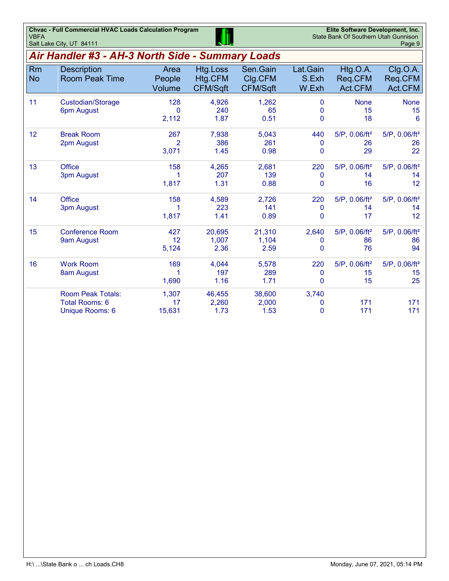| <b>VBFA</b> | <b>Chvac - Full Commercial HVAC Loads Calculation Program</b><br>Salt Lake City, UT 84111 |                                 | Elite Software Development, Inc.<br>State Bank Of Southern Utah Gunnison | Page 9                                 |                            |                                |                                |
|-------------|-------------------------------------------------------------------------------------------|---------------------------------|--------------------------------------------------------------------------|----------------------------------------|----------------------------|--------------------------------|--------------------------------|
|             | Air Handler #3 - AH-3 North Side - Summary Loads                                          |                                 |                                                                          |                                        |                            |                                |                                |
| Rm<br>No.   | <b>Description</b><br><b>Room Peak Time</b>                                               | Area<br>People<br><b>Volume</b> | Htg.Loss<br>Htg.CFM<br>CFM/Sqft                                          | Sen.Gain<br>Clg.CFM<br><b>CFM/Sqft</b> | Lat.Gain<br>S.Exh<br>W.Exh | Htg.O.A.<br>Reg.CFM<br>Act.CFM | Clg.O.A.<br>Reg.CFM<br>Act.CFM |
| 11          | Custodian/Storage<br>6pm August                                                           | 128<br>2.112                    | 4.926<br>240<br>1.87                                                     | 1.262<br>65<br>0.51                    | 0<br>0                     | <b>None</b><br>15<br>18        | None<br>15<br>6                |

| Elite Software Development, Inc.     |        |
|--------------------------------------|--------|
| State Bank Of Southern Utah Gunnison |        |
|                                      | Page 9 |
|                                      |        |
|                                      |        |

| Rm<br><b>No</b> | <b>Description</b><br><b>Room Peak Time</b> | Area<br>People<br>Volume | Htg.Loss<br>Htg.CFM<br>CFM/Sqft | Sen.Gain<br>Clg.CFM<br>CFM/Sqft | Lat.Gain<br>S.Exh<br>W.Exh | Htg.O.A.<br>Req.CFM<br>Act.CFM | Clg.O.A.<br>Req.CFM<br>Act.CFM |
|-----------------|---------------------------------------------|--------------------------|---------------------------------|---------------------------------|----------------------------|--------------------------------|--------------------------------|
| 11              | Custodian/Storage                           | 128                      | 4,926                           | 1,262                           | $\Omega$                   | <b>None</b>                    | <b>None</b>                    |
|                 | 6pm August                                  | 0                        | 240                             | 65                              | 0                          | 15                             | 15                             |
|                 |                                             | 2,112                    | 1.87                            | 0.51                            | 0                          | 18                             | $6\phantom{1}6$                |
| 12              | <b>Break Room</b>                           | 267                      | 7,938                           | 5,043                           | 440                        | $5/P$ , 0.06/ft <sup>2</sup>   | 5/P, 0.06/ft <sup>2</sup>      |
|                 | 2pm August                                  | $\overline{2}$           | 386                             | 261                             | 0                          | 26                             | 26                             |
|                 |                                             | 3,071                    | 1.45                            | 0.98                            | 0                          | 29                             | 22                             |
| 13              | <b>Office</b>                               | 158                      | 4,265                           | 2,681                           | 220                        | $5/P$ , 0.06/ft <sup>2</sup>   | $5/P$ , 0.06/ft <sup>2</sup>   |
|                 | 3pm August                                  |                          | 207                             | 139                             | 0                          | 14                             | 14                             |
|                 |                                             | 1,817                    | 1.31                            | 0.88                            | 0                          | 16                             | 12                             |
| 14              | <b>Office</b>                               | 158                      | 4,589                           | 2,726                           | 220                        | $5/P$ , 0.06/ft <sup>2</sup>   | $5/P$ , 0.06/ft <sup>2</sup>   |
|                 | 3pm August                                  |                          | 223                             | 141                             | 0                          | 14                             | 14                             |
|                 |                                             | 1,817                    | 1.41                            | 0.89                            | $\Omega$                   | 17                             | 12                             |
| 15              | <b>Conference Room</b>                      | 427                      | 20,695                          | 21,310                          | 2,640                      | $5/P$ , 0.06/ft <sup>2</sup>   | 5/P, 0.06/ft <sup>2</sup>      |
|                 | 9am August                                  | 12                       | 1,007                           | 1,104                           | 0                          | 86                             | 86                             |
|                 |                                             | 5,124                    | 2.36                            | 2.59                            | 0                          | 76                             | 94                             |
| 16              | <b>Work Room</b>                            | 169                      | 4,044                           | 5,578                           | 220                        | $5/P$ , 0.06/ft <sup>2</sup>   | $5/P$ , 0.06/ft <sup>2</sup>   |
|                 | 8am August                                  |                          | 197                             | 289                             | 0                          | 15                             | 15                             |
|                 |                                             | 1,690                    | 1.16                            | 1.71                            | 0                          | 15                             | 25                             |
|                 | <b>Room Peak Totals:</b>                    | 1,307                    | 46,455                          | 38,600                          | 3,740                      |                                |                                |
|                 | Total Rooms: 6                              | 17                       | 2,260                           | 2,000                           | 0                          | 171                            | 171                            |
|                 | <b>Unique Rooms: 6</b>                      | 15,631                   | 1.73                            | 1.53                            | 0                          | 171                            | 171                            |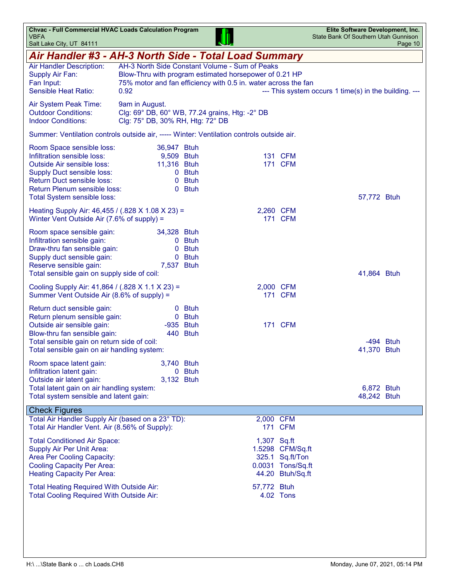| <b>Chvac - Full Commercial HVAC Loads Calculation Program</b><br><b>VBFA</b><br>Salt Lake City, UT 84111                                                                                                                        |                                                                                                                                                                                    |             |             |                                                                              | Elite Software Development, Inc.<br>State Bank Of Southern Utah Gunnison | Page 10    |
|---------------------------------------------------------------------------------------------------------------------------------------------------------------------------------------------------------------------------------|------------------------------------------------------------------------------------------------------------------------------------------------------------------------------------|-------------|-------------|------------------------------------------------------------------------------|--------------------------------------------------------------------------|------------|
| Air Handler #3 - AH-3 North Side - Total Load Summary                                                                                                                                                                           |                                                                                                                                                                                    |             |             |                                                                              |                                                                          |            |
| Air Handler Description:<br>Supply Air Fan:<br>Fan Input:<br>Sensible Heat Ratio:                                                                                                                                               | AH-3 North Side Constant Volume - Sum of Peaks<br>Blow-Thru with program estimated horsepower of 0.21 HP<br>75% motor and fan efficiency with 0.5 in. water across the fan<br>0.92 |             |             |                                                                              | --- This system occurs 1 time(s) in the building. ---                    |            |
| Air System Peak Time:<br><b>Outdoor Conditions:</b><br><b>Indoor Conditions:</b>                                                                                                                                                | 9am in August.<br>Clg: 69° DB, 60° WB, 77.24 grains, Htg: -2° DB<br>Clg: 75° DB, 30% RH, Htg: 72° DB                                                                               |             |             |                                                                              |                                                                          |            |
| Summer: Ventilation controls outside air, ----- Winter: Ventilation controls outside air.                                                                                                                                       |                                                                                                                                                                                    |             |             |                                                                              |                                                                          |            |
| Room Space sensible loss:<br>Infiltration sensible loss:<br><b>Outside Air sensible loss:</b><br><b>Supply Duct sensible loss:</b><br>Return Duct sensible loss:<br>Return Plenum sensible loss:<br>Total System sensible loss: | 36,947 Btuh<br>9,509 Btuh<br>11,316 Btuh<br>0 Btuh<br>0<br>0 Btuh                                                                                                                  | <b>Btuh</b> |             | 131 CFM<br><b>171 CFM</b>                                                    | 57,772 Btuh                                                              |            |
| Heating Supply Air: 46,455 / (.828 X 1.08 X 23) =<br>Winter Vent Outside Air (7.6% of supply) =                                                                                                                                 |                                                                                                                                                                                    |             | 2,260 CFM   | <b>171 CFM</b>                                                               |                                                                          |            |
| Room space sensible gain:<br>Infiltration sensible gain:<br>Draw-thru fan sensible gain:<br>Supply duct sensible gain:<br>Reserve sensible gain:<br>Total sensible gain on supply side of coil:                                 | 34,328 Btuh<br>0 Btuh<br>0<br>0 Btuh<br>7,537 Btuh                                                                                                                                 | <b>Btuh</b> |             |                                                                              | 41,864 Btuh                                                              |            |
| Cooling Supply Air: 41,864 / (.828 X 1.1 X 23) =<br>Summer Vent Outside Air (8.6% of supply) =                                                                                                                                  |                                                                                                                                                                                    |             | 2,000 CFM   | <b>171 CFM</b>                                                               |                                                                          |            |
| Return duct sensible gain:<br>Return plenum sensible gain:<br>Outside air sensible gain:<br>Blow-thru fan sensible gain:<br>Total sensible gain on return side of coil:<br>Total sensible gain on air handling system:          | <b>Btuh</b><br>$\mathbf{0}$<br>0 Btuh<br>-935 Btuh<br>440 Btuh                                                                                                                     |             |             | <b>171 CFM</b>                                                               | 41,370 Btuh                                                              | -494 Btuh  |
| Room space latent gain:<br>Infiltration latent gain:<br>Outside air latent gain:<br>Total latent gain on air handling system:<br>Total system sensible and latent gain:                                                         | 3,740 Btuh<br>0 Btuh<br>3,132 Btuh                                                                                                                                                 |             |             |                                                                              | 48,242 Btuh                                                              | 6,872 Btuh |
| <b>Check Figures</b><br>Total Air Handler Supply Air (based on a 23° TD):<br>Total Air Handler Vent. Air (8.56% of Supply):                                                                                                     |                                                                                                                                                                                    |             | 2,000 CFM   | <b>171 CFM</b>                                                               |                                                                          |            |
| <b>Total Conditioned Air Space:</b><br>Supply Air Per Unit Area:<br><b>Area Per Cooling Capacity:</b><br><b>Cooling Capacity Per Area:</b><br><b>Heating Capacity Per Area:</b>                                                 |                                                                                                                                                                                    |             | 1,307 Sq.ft | 1.5298 CFM/Sq.ft<br>325.1 Sq.ft/Ton<br>0.0031 Tons/Sq.ft<br>44.20 Btuh/Sq.ft |                                                                          |            |
| Total Heating Required With Outside Air:<br><b>Total Cooling Required With Outside Air:</b>                                                                                                                                     |                                                                                                                                                                                    |             | 57,772 Btuh | 4.02 Tons                                                                    |                                                                          |            |
|                                                                                                                                                                                                                                 |                                                                                                                                                                                    |             |             |                                                                              |                                                                          |            |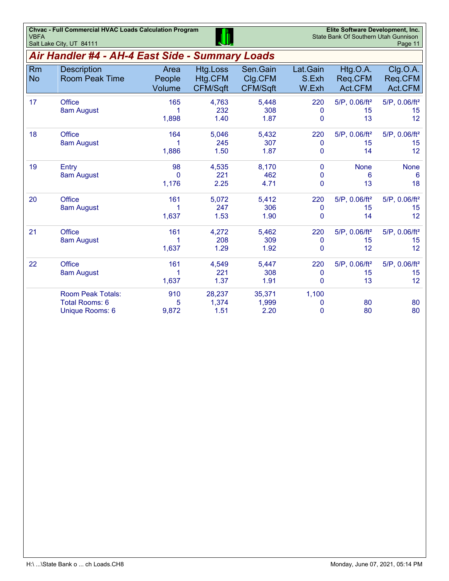| <b>VBFA</b>     | <b>Chvac - Full Commercial HVAC Loads Calculation Program</b><br>Salt Lake City, UT 84111 |                             |                                               |                                        |                                    | Elite Software Development, Inc.<br>State Bank Of Southern Utah Gunnison | Page 11                                            |
|-----------------|-------------------------------------------------------------------------------------------|-----------------------------|-----------------------------------------------|----------------------------------------|------------------------------------|--------------------------------------------------------------------------|----------------------------------------------------|
|                 | Air Handler #4 - AH-4 East Side - Summary Loads                                           |                             |                                               |                                        |                                    |                                                                          |                                                    |
| Rm<br><b>No</b> | <b>Description</b><br><b>Room Peak Time</b>                                               | Area<br>People<br>Volume    | <b>Htg.Loss</b><br>Htg.CFM<br><b>CFM/Sqft</b> | Sen.Gain<br>Clg.CFM<br><b>CFM/Sqft</b> | Lat.Gain<br>S.Exh<br>W.Exh         | Htg.O.A.<br>Req.CFM<br>Act.CFM                                           | Clg.O.A.<br>Reg.CFM<br>Act.CFM                     |
| 17              | <b>Office</b><br>8am August                                                               | 165<br>1,898                | 4,763<br>232<br>1.40                          | 5,448<br>308<br>1.87                   | 220<br>$\mathbf{0}$<br>0           | $5/P$ , 0.06/ft <sup>2</sup><br>15<br>13                                 | $5/P$ , 0.06/ft <sup>2</sup><br>15<br>12           |
| 18              | <b>Office</b><br>8am August                                                               | 164<br>1,886                | 5,046<br>245<br>1.50                          | 5,432<br>307<br>1.87                   | 220<br>0<br>0                      | $5/P$ , 0.06/ft <sup>2</sup><br>15<br>14                                 | 5/P, 0.06/ft <sup>2</sup><br>15<br>12              |
| 19              | Entry<br>8am August                                                                       | 98<br>$\mathbf{0}$<br>1,176 | 4,535<br>221<br>2.25                          | 8,170<br>462<br>4.71                   | 0<br>$\mathbf{0}$<br>0             | <b>None</b><br>6<br>13                                                   | <b>None</b><br>6<br>18                             |
| 20              | <b>Office</b><br>8am August                                                               | 161<br>1,637                | 5,072<br>247<br>1.53                          | 5,412<br>306<br>1.90                   | 220<br>$\mathbf 0$<br>$\Omega$     | $5/P$ , 0.06/ft <sup>2</sup><br>15<br>14                                 | $5/P$ , 0.06/ft <sup>2</sup><br>15<br>12           |
| 21              | <b>Office</b><br>8am August                                                               | 161<br>1,637                | 4,272<br>208<br>1.29                          | 5,462<br>309<br>1.92                   | 220<br>$\mathbf 0$<br>$\mathbf{0}$ | $5/P$ , 0.06/ft <sup>2</sup><br>15<br>12                                 | 5/P, 0.06/ft <sup>2</sup><br>15<br>12 <sup>2</sup> |
| 22              | <b>Office</b><br>8am August                                                               | 161<br>1,637                | 4,549<br>221<br>1.37                          | 5,447<br>308<br>1.91                   | 220<br>0<br>0                      | $5/P$ , 0.06/ft <sup>2</sup><br>15<br>13                                 | $5/P$ , 0.06/ft <sup>2</sup><br>15<br>12           |
|                 | <b>Room Peak Totals:</b><br>Total Rooms: 6<br>Unique Rooms: 6                             | 910<br>5<br>9,872           | 28,237<br>1,374<br>1.51                       | 35,371<br>1,999<br>2.20                | 1,100<br>0<br>$\mathbf{0}$         | 80<br>80                                                                 | 80<br>80                                           |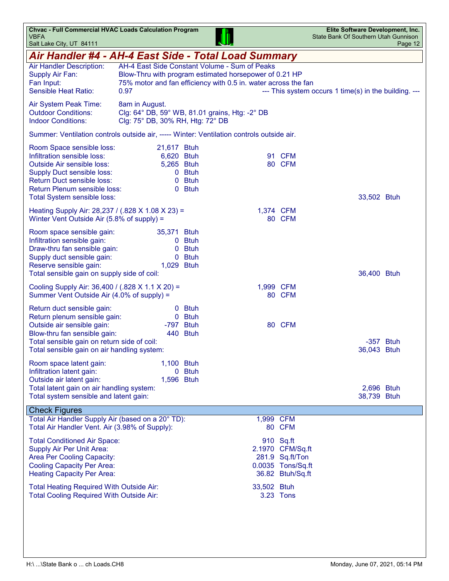| <b>Chvac - Full Commercial HVAC Loads Calculation Program</b><br><b>VBFA</b><br>Salt Lake City, UT 84111                                                                                                                               |                                                                                                      |                                 |                                                                                                                          |                                                                                           | Elite Software Development, Inc.<br>State Bank Of Southern Utah Gunnison | Page 12 |
|----------------------------------------------------------------------------------------------------------------------------------------------------------------------------------------------------------------------------------------|------------------------------------------------------------------------------------------------------|---------------------------------|--------------------------------------------------------------------------------------------------------------------------|-------------------------------------------------------------------------------------------|--------------------------------------------------------------------------|---------|
| Air Handler #4 - AH-4 East Side - Total Load Summary                                                                                                                                                                                   |                                                                                                      |                                 |                                                                                                                          |                                                                                           |                                                                          |         |
| Air Handler Description:<br>Supply Air Fan:<br>Fan Input:<br>Sensible Heat Ratio:                                                                                                                                                      | AH-4 East Side Constant Volume - Sum of Peaks<br>0.97                                                |                                 | Blow-Thru with program estimated horsepower of 0.21 HP<br>75% motor and fan efficiency with 0.5 in. water across the fan |                                                                                           | --- This system occurs 1 time(s) in the building. ---                    |         |
| Air System Peak Time:<br><b>Outdoor Conditions:</b><br><b>Indoor Conditions:</b>                                                                                                                                                       | 8am in August.<br>Clg: 64° DB, 59° WB, 81.01 grains, Htg: -2° DB<br>Clg: 75° DB, 30% RH, Htg: 72° DB |                                 |                                                                                                                          |                                                                                           |                                                                          |         |
| Summer: Ventilation controls outside air, ----- Winter: Ventilation controls outside air.                                                                                                                                              |                                                                                                      |                                 |                                                                                                                          |                                                                                           |                                                                          |         |
| Room Space sensible loss:<br>Infiltration sensible loss:<br><b>Outside Air sensible loss:</b><br><b>Supply Duct sensible loss:</b><br><b>Return Duct sensible loss:</b><br>Return Plenum sensible loss:<br>Total System sensible loss: | 21,617 Btuh<br>6,620 Btuh<br>5,265 Btuh                                                              | 0 Btuh<br>0 Btuh<br>0 Btuh      |                                                                                                                          | 91 CFM<br>80 CFM                                                                          | 33,502 Btuh                                                              |         |
| Heating Supply Air: 28,237 / (.828 X 1.08 X 23) =<br>Winter Vent Outside Air (5.8% of supply) =                                                                                                                                        |                                                                                                      |                                 | 1,374 CFM                                                                                                                | 80 CFM                                                                                    |                                                                          |         |
| Room space sensible gain:<br>Infiltration sensible gain:<br>Draw-thru fan sensible gain:<br>Supply duct sensible gain:<br>Reserve sensible gain:<br>Total sensible gain on supply side of coil:                                        | 35,371 Btuh<br>0<br>1,029 Btuh                                                                       | 0 Btuh<br><b>Btuh</b><br>0 Btuh |                                                                                                                          |                                                                                           | 36,400 Btuh                                                              |         |
| Cooling Supply Air: 36,400 / (.828 X 1.1 X 20) =<br>Summer Vent Outside Air (4.0% of supply) =                                                                                                                                         |                                                                                                      |                                 | 1,999 CFM                                                                                                                | 80 CFM                                                                                    |                                                                          |         |
| Return duct sensible gain:<br>Return plenum sensible gain:<br>Outside air sensible gain:<br>Blow-thru fan sensible gain:<br>Total sensible gain on return side of coil:<br>Total sensible gain on air handling system:                 | -797 Btuh                                                                                            | 0 Btuh<br>0 Btuh<br>440 Btuh    |                                                                                                                          | 80 CFM                                                                                    | -357 Btuh<br>36,043 Btuh                                                 |         |
| Room space latent gain:<br>Infiltration latent gain:<br>Outside air latent gain:<br>Total latent gain on air handling system:<br>Total system sensible and latent gain:                                                                | 1,100 Btuh<br>1,596 Btuh                                                                             | 0 Btuh                          |                                                                                                                          |                                                                                           | 2,696 Btuh<br>38,739 Btuh                                                |         |
| <b>Check Figures</b>                                                                                                                                                                                                                   |                                                                                                      |                                 |                                                                                                                          |                                                                                           |                                                                          |         |
| Total Air Handler Supply Air (based on a 20° TD):<br>Total Air Handler Vent. Air (3.98% of Supply):                                                                                                                                    |                                                                                                      |                                 | 1,999 CFM                                                                                                                | 80 CFM                                                                                    |                                                                          |         |
| <b>Total Conditioned Air Space:</b><br>Supply Air Per Unit Area:<br><b>Area Per Cooling Capacity:</b><br><b>Cooling Capacity Per Area:</b><br><b>Heating Capacity Per Area:</b>                                                        |                                                                                                      |                                 |                                                                                                                          | 910 Sq.ft<br>2.1970 CFM/Sq.ft<br>281.9 Sq.ft/Ton<br>0.0035 Tons/Sq.ft<br>36.82 Btuh/Sq.ft |                                                                          |         |
| Total Heating Required With Outside Air:<br><b>Total Cooling Required With Outside Air:</b>                                                                                                                                            |                                                                                                      |                                 | 33,502 Btuh                                                                                                              | 3.23 Tons                                                                                 |                                                                          |         |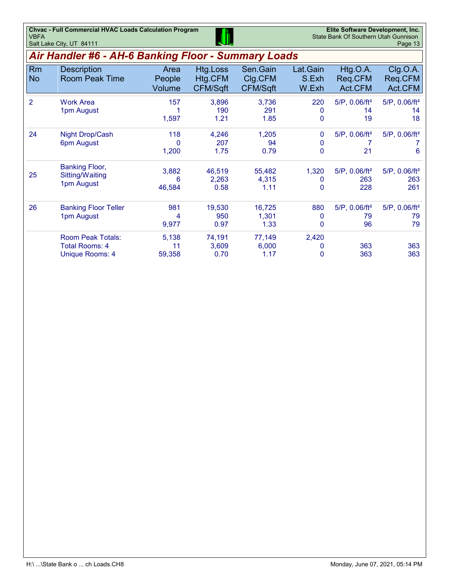| <b>Chyac - Full Commercial HVAC Loads Calculation Program</b> | VD.         | Elite Software Development, Inc.     |
|---------------------------------------------------------------|-------------|--------------------------------------|
| <b>VBFA</b>                                                   |             | State Bank Of Southern Utah Gunnison |
| Salt Lake City, UT 84111                                      | <b>TJU,</b> | Page 13                              |

# *Air Handler #6 - AH-6 Banking Floor - Summary Loads*

|                 |                                                                             | <i>F</i> urvey Panning Provi |                                 | Uunniuu y<br>$-$ vuvv                  |                            |                                            |                                            |
|-----------------|-----------------------------------------------------------------------------|------------------------------|---------------------------------|----------------------------------------|----------------------------|--------------------------------------------|--------------------------------------------|
| Rm<br><b>No</b> | <b>Description</b><br><b>Room Peak Time</b>                                 | Area<br>People<br>Volume     | Htg.Loss<br>Htg.CFM<br>CFM/Sqft | Sen.Gain<br>Clg.CFM<br><b>CFM/Sqft</b> | Lat.Gain<br>S.Exh<br>W.Exh | Htg.O.A.<br>Req.CFM<br>Act.CFM             | Clg.O.A.<br>Req.CFM<br>Act.CFM             |
| 2               | <b>Work Area</b><br>1pm August                                              | 157<br>1,597                 | 3,896<br>190<br>1.21            | 3,736<br>291<br>1.85                   | 220<br>0<br>0              | $5/P$ , 0.06/ft <sup>2</sup><br>14<br>19   | $5/P$ , 0.06/ft <sup>2</sup><br>14<br>18   |
| 24              | Night Drop/Cash<br>6pm August                                               | 118<br>$\Omega$<br>1,200     | 4,246<br>207<br>1.75            | 1,205<br>94<br>0.79                    | $\mathbf{0}$<br>0<br>0     | $5/P$ , 0.06/ft <sup>2</sup><br>21         | $5/P$ , 0.06/ft <sup>2</sup><br>6          |
| 25              | <b>Banking Floor,</b><br>Sitting/Waiting<br>1pm August                      | 3,882<br>6<br>46,584         | 46,519<br>2,263<br>0.58         | 55,482<br>4,315<br>1.11                | 1,320<br>0<br>0            | $5/P$ , 0.06/ft <sup>2</sup><br>263<br>228 | $5/P$ , 0.06/ft <sup>2</sup><br>263<br>261 |
| 26              | <b>Banking Floor Teller</b><br>1pm August                                   | 981<br>9,977                 | 19,530<br>950<br>0.97           | 16,725<br>1,301<br>1.33                | 880<br>$\Omega$<br>0       | $5/P$ , 0.06/ft <sup>2</sup><br>79<br>96   | $5/P$ , 0.06/ft <sup>2</sup><br>79<br>79   |
|                 | <b>Room Peak Totals:</b><br><b>Total Rooms: 4</b><br><b>Unique Rooms: 4</b> | 5,138<br>11<br>59,358        | 74,191<br>3,609<br>0.70         | 77,149<br>6,000<br>1.17                | 2,420<br>0<br>$\Omega$     | 363<br>363                                 | 363<br>363                                 |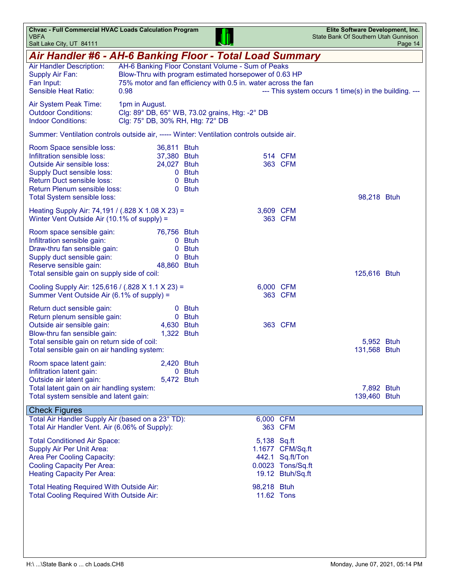| Air Handler #6 - AH-6 Banking Floor - Total Load Summary<br>AH-6 Banking Floor Constant Volume - Sum of Peaks<br>Air Handler Description:<br>Blow-Thru with program estimated horsepower of 0.63 HP<br>Supply Air Fan:<br>75% motor and fan efficiency with 0.5 in. water across the fan<br>Fan Input:<br><b>Sensible Heat Ratio:</b><br>0.98<br>--- This system occurs 1 time(s) in the building. ---<br>Air System Peak Time:<br>1pm in August.<br><b>Outdoor Conditions:</b><br>Clg: 89° DB, 65° WB, 73.02 grains, Htg: -2° DB<br><b>Indoor Conditions:</b><br>Clg: 75° DB, 30% RH, Htg: 72° DB<br>Summer: Ventilation controls outside air, ----- Winter: Ventilation controls outside air.<br>Room Space sensible loss:<br>36,811 Btuh<br>Infiltration sensible loss:<br>37,380 Btuh<br>514 CFM<br><b>Outside Air sensible loss:</b><br>363 CFM<br>24,027 Btuh<br><b>Supply Duct sensible loss:</b><br>0 Btuh<br><b>Return Duct sensible loss:</b><br>0 Btuh<br>Return Plenum sensible loss:<br>0 Btuh<br>Total System sensible loss:<br>98,218 Btuh<br>Heating Supply Air: 74,191 / (.828 X 1.08 X 23) =<br>3,609 CFM<br>Winter Vent Outside Air (10.1% of supply) =<br>363 CFM<br>Room space sensible gain:<br>76,756 Btuh<br>Infiltration sensible gain:<br>0 Btuh<br>Draw-thru fan sensible gain:<br><b>Btuh</b><br>0<br>0 Btuh<br>Supply duct sensible gain:<br>Reserve sensible gain:<br>48,860 Btuh<br>Total sensible gain on supply side of coil:<br>125,616 Btuh<br>Cooling Supply Air: 125,616 / (.828 X 1.1 X 23) =<br>6,000 CFM<br>Summer Vent Outside Air (6.1% of supply) =<br>363 CFM<br>0 Btuh<br>Return duct sensible gain:<br>Return plenum sensible gain:<br>0 Btuh<br>Outside air sensible gain:<br>363 CFM<br>4,630 Btuh<br>Blow-thru fan sensible gain:<br>1,322 Btuh<br>Total sensible gain on return side of coil:<br>5,952 Btuh<br>Total sensible gain on air handling system:<br>131,568 Btuh<br>2,420 Btuh<br>Room space latent gain:<br>Infiltration latent gain:<br>0 Btuh<br>Outside air latent gain:<br>5,472 Btuh<br>Total latent gain on air handling system:<br>7,892 Btuh<br>Total system sensible and latent gain:<br>139,460 Btuh<br><b>Check Figures</b><br>Total Air Handler Supply Air (based on a 23° TD):<br>6,000 CFM<br>Total Air Handler Vent. Air (6.06% of Supply):<br>363 CFM<br><b>Total Conditioned Air Space:</b><br>5,138 Sq.ft<br>Supply Air Per Unit Area:<br>1.1677 CFM/Sq.ft<br><b>Area Per Cooling Capacity:</b><br>442.1 Sq.ft/Ton<br><b>Cooling Capacity Per Area:</b><br>0.0023 Tons/Sq.ft<br><b>Heating Capacity Per Area:</b><br>19.12 Btuh/Sq.ft<br>Total Heating Required With Outside Air:<br>98,218 Btuh<br><b>Total Cooling Required With Outside Air:</b><br>11.62 Tons | <b>Chvac - Full Commercial HVAC Loads Calculation Program</b><br><b>VBFA</b><br>Salt Lake City, UT 84111 |  |  | Elite Software Development, Inc.<br>State Bank Of Southern Utah Gunnison | Page 14 |
|--------------------------------------------------------------------------------------------------------------------------------------------------------------------------------------------------------------------------------------------------------------------------------------------------------------------------------------------------------------------------------------------------------------------------------------------------------------------------------------------------------------------------------------------------------------------------------------------------------------------------------------------------------------------------------------------------------------------------------------------------------------------------------------------------------------------------------------------------------------------------------------------------------------------------------------------------------------------------------------------------------------------------------------------------------------------------------------------------------------------------------------------------------------------------------------------------------------------------------------------------------------------------------------------------------------------------------------------------------------------------------------------------------------------------------------------------------------------------------------------------------------------------------------------------------------------------------------------------------------------------------------------------------------------------------------------------------------------------------------------------------------------------------------------------------------------------------------------------------------------------------------------------------------------------------------------------------------------------------------------------------------------------------------------------------------------------------------------------------------------------------------------------------------------------------------------------------------------------------------------------------------------------------------------------------------------------------------------------------------------------------------------------------------------------------------------------------------------------------------------------------------------------------------------------------------------------------------------------------------------------------------------------------------------------------------------------------------------------------------------------|----------------------------------------------------------------------------------------------------------|--|--|--------------------------------------------------------------------------|---------|
|                                                                                                                                                                                                                                                                                                                                                                                                                                                                                                                                                                                                                                                                                                                                                                                                                                                                                                                                                                                                                                                                                                                                                                                                                                                                                                                                                                                                                                                                                                                                                                                                                                                                                                                                                                                                                                                                                                                                                                                                                                                                                                                                                                                                                                                                                                                                                                                                                                                                                                                                                                                                                                                                                                                                                  |                                                                                                          |  |  |                                                                          |         |
|                                                                                                                                                                                                                                                                                                                                                                                                                                                                                                                                                                                                                                                                                                                                                                                                                                                                                                                                                                                                                                                                                                                                                                                                                                                                                                                                                                                                                                                                                                                                                                                                                                                                                                                                                                                                                                                                                                                                                                                                                                                                                                                                                                                                                                                                                                                                                                                                                                                                                                                                                                                                                                                                                                                                                  |                                                                                                          |  |  |                                                                          |         |
|                                                                                                                                                                                                                                                                                                                                                                                                                                                                                                                                                                                                                                                                                                                                                                                                                                                                                                                                                                                                                                                                                                                                                                                                                                                                                                                                                                                                                                                                                                                                                                                                                                                                                                                                                                                                                                                                                                                                                                                                                                                                                                                                                                                                                                                                                                                                                                                                                                                                                                                                                                                                                                                                                                                                                  |                                                                                                          |  |  |                                                                          |         |
|                                                                                                                                                                                                                                                                                                                                                                                                                                                                                                                                                                                                                                                                                                                                                                                                                                                                                                                                                                                                                                                                                                                                                                                                                                                                                                                                                                                                                                                                                                                                                                                                                                                                                                                                                                                                                                                                                                                                                                                                                                                                                                                                                                                                                                                                                                                                                                                                                                                                                                                                                                                                                                                                                                                                                  |                                                                                                          |  |  |                                                                          |         |
|                                                                                                                                                                                                                                                                                                                                                                                                                                                                                                                                                                                                                                                                                                                                                                                                                                                                                                                                                                                                                                                                                                                                                                                                                                                                                                                                                                                                                                                                                                                                                                                                                                                                                                                                                                                                                                                                                                                                                                                                                                                                                                                                                                                                                                                                                                                                                                                                                                                                                                                                                                                                                                                                                                                                                  |                                                                                                          |  |  |                                                                          |         |
|                                                                                                                                                                                                                                                                                                                                                                                                                                                                                                                                                                                                                                                                                                                                                                                                                                                                                                                                                                                                                                                                                                                                                                                                                                                                                                                                                                                                                                                                                                                                                                                                                                                                                                                                                                                                                                                                                                                                                                                                                                                                                                                                                                                                                                                                                                                                                                                                                                                                                                                                                                                                                                                                                                                                                  |                                                                                                          |  |  |                                                                          |         |
|                                                                                                                                                                                                                                                                                                                                                                                                                                                                                                                                                                                                                                                                                                                                                                                                                                                                                                                                                                                                                                                                                                                                                                                                                                                                                                                                                                                                                                                                                                                                                                                                                                                                                                                                                                                                                                                                                                                                                                                                                                                                                                                                                                                                                                                                                                                                                                                                                                                                                                                                                                                                                                                                                                                                                  |                                                                                                          |  |  |                                                                          |         |
|                                                                                                                                                                                                                                                                                                                                                                                                                                                                                                                                                                                                                                                                                                                                                                                                                                                                                                                                                                                                                                                                                                                                                                                                                                                                                                                                                                                                                                                                                                                                                                                                                                                                                                                                                                                                                                                                                                                                                                                                                                                                                                                                                                                                                                                                                                                                                                                                                                                                                                                                                                                                                                                                                                                                                  |                                                                                                          |  |  |                                                                          |         |
|                                                                                                                                                                                                                                                                                                                                                                                                                                                                                                                                                                                                                                                                                                                                                                                                                                                                                                                                                                                                                                                                                                                                                                                                                                                                                                                                                                                                                                                                                                                                                                                                                                                                                                                                                                                                                                                                                                                                                                                                                                                                                                                                                                                                                                                                                                                                                                                                                                                                                                                                                                                                                                                                                                                                                  |                                                                                                          |  |  |                                                                          |         |
|                                                                                                                                                                                                                                                                                                                                                                                                                                                                                                                                                                                                                                                                                                                                                                                                                                                                                                                                                                                                                                                                                                                                                                                                                                                                                                                                                                                                                                                                                                                                                                                                                                                                                                                                                                                                                                                                                                                                                                                                                                                                                                                                                                                                                                                                                                                                                                                                                                                                                                                                                                                                                                                                                                                                                  |                                                                                                          |  |  |                                                                          |         |
|                                                                                                                                                                                                                                                                                                                                                                                                                                                                                                                                                                                                                                                                                                                                                                                                                                                                                                                                                                                                                                                                                                                                                                                                                                                                                                                                                                                                                                                                                                                                                                                                                                                                                                                                                                                                                                                                                                                                                                                                                                                                                                                                                                                                                                                                                                                                                                                                                                                                                                                                                                                                                                                                                                                                                  |                                                                                                          |  |  |                                                                          |         |
|                                                                                                                                                                                                                                                                                                                                                                                                                                                                                                                                                                                                                                                                                                                                                                                                                                                                                                                                                                                                                                                                                                                                                                                                                                                                                                                                                                                                                                                                                                                                                                                                                                                                                                                                                                                                                                                                                                                                                                                                                                                                                                                                                                                                                                                                                                                                                                                                                                                                                                                                                                                                                                                                                                                                                  |                                                                                                          |  |  |                                                                          |         |
|                                                                                                                                                                                                                                                                                                                                                                                                                                                                                                                                                                                                                                                                                                                                                                                                                                                                                                                                                                                                                                                                                                                                                                                                                                                                                                                                                                                                                                                                                                                                                                                                                                                                                                                                                                                                                                                                                                                                                                                                                                                                                                                                                                                                                                                                                                                                                                                                                                                                                                                                                                                                                                                                                                                                                  |                                                                                                          |  |  |                                                                          |         |
|                                                                                                                                                                                                                                                                                                                                                                                                                                                                                                                                                                                                                                                                                                                                                                                                                                                                                                                                                                                                                                                                                                                                                                                                                                                                                                                                                                                                                                                                                                                                                                                                                                                                                                                                                                                                                                                                                                                                                                                                                                                                                                                                                                                                                                                                                                                                                                                                                                                                                                                                                                                                                                                                                                                                                  |                                                                                                          |  |  |                                                                          |         |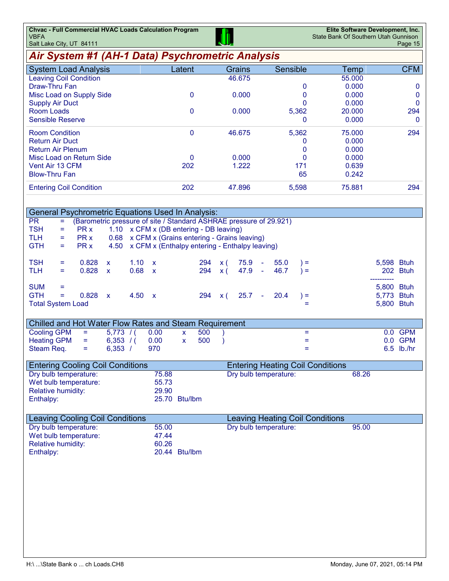| <b>Chvac - Full Commercial HVAC Loads Calculation Program</b><br><b>VBFA</b><br>Salt Lake City, UT 84111 |                                                 |                        |                                         | State Bank Of Southern Utah Gunnison | Elite Software Development, Inc.<br>Page 15 |
|----------------------------------------------------------------------------------------------------------|-------------------------------------------------|------------------------|-----------------------------------------|--------------------------------------|---------------------------------------------|
| Air System #1 (AH-1 Data) Psychrometric Analysis                                                         |                                                 |                        |                                         |                                      |                                             |
| <b>System Load Analysis</b>                                                                              | Latent                                          | Grains                 | Sensible                                | Temp                                 | <b>CFM</b>                                  |
| <b>Leaving Coil Condition</b>                                                                            |                                                 | 46.675                 |                                         | 55.000                               |                                             |
| Draw-Thru Fan                                                                                            |                                                 |                        | 0                                       | 0.000                                | 0                                           |
| Misc Load on Supply Side                                                                                 | 0                                               | 0.000                  | 0                                       | 0.000                                | 0                                           |
| <b>Supply Air Duct</b>                                                                                   |                                                 |                        | $\mathbf{0}$                            | 0.000                                | $\mathbf 0$                                 |
| <b>Room Loads</b>                                                                                        | 0                                               | 0.000                  | 5,362                                   | 20.000                               | 294                                         |
| <b>Sensible Reserve</b>                                                                                  |                                                 |                        | 0                                       | 0.000                                | $\mathbf 0$                                 |
| <b>Room Condition</b>                                                                                    | $\mathbf 0$                                     | 46.675                 | 5,362                                   | 75.000                               | 294                                         |
| <b>Return Air Duct</b>                                                                                   |                                                 |                        | 0                                       | 0.000                                |                                             |
| <b>Return Air Plenum</b>                                                                                 |                                                 |                        | 0                                       | 0.000                                |                                             |
| Misc Load on Return Side                                                                                 | 0                                               | 0.000                  | 0                                       | 0.000                                |                                             |
| Vent Air 13 CFM                                                                                          | 202                                             | 1.222                  | 171                                     | 0.639                                |                                             |
| <b>Blow-Thru Fan</b>                                                                                     |                                                 |                        | 65                                      | 0.242                                |                                             |
|                                                                                                          |                                                 |                        |                                         |                                      |                                             |
| <b>Entering Coil Condition</b>                                                                           | 202                                             | 47.896                 | 5,598                                   | 75.881                               | 294                                         |
|                                                                                                          |                                                 |                        |                                         |                                      |                                             |
| <b>General Psychrometric Equations Used In Analysis:</b>                                                 |                                                 |                        |                                         |                                      |                                             |
| (Barometric pressure of site / Standard ASHRAE pressure of 29.921)<br><b>PR</b><br>$=$                   |                                                 |                        |                                         |                                      |                                             |
| <b>TSH</b><br>PR x<br>Ξ                                                                                  | 1.10 x CFM x (DB entering - DB leaving)         |                        |                                         |                                      |                                             |
| <b>TLH</b><br>PR x<br>=                                                                                  | 0.68 x CFM x (Grains entering - Grains leaving) |                        |                                         |                                      |                                             |
| <b>GTH</b><br>PR x<br>4.50<br>Ξ.                                                                         | x CFM x (Enthalpy entering - Enthalpy leaving)  |                        |                                         |                                      |                                             |
|                                                                                                          |                                                 |                        |                                         |                                      |                                             |
| <b>TSH</b><br>0.828<br>1.10<br>X<br>$\mathsf{x}$<br>=                                                    | 294                                             | 75.9<br>x(             | 55.0<br>ä,<br>$) =$                     |                                      | 5,598 Btuh                                  |
| 0.828<br><b>TLH</b><br>0.68<br>$\mathsf{x}$<br>$\mathbf{x}$<br>Ξ                                         | 294                                             | 47.9<br>x(             | 46.7<br>$\sim$<br>$) =$                 |                                      | 202 Btuh<br>-----------                     |
| <b>SUM</b><br>Ξ                                                                                          |                                                 |                        |                                         |                                      | 5,800 Btuh                                  |
| <b>GTH</b><br>0.828<br>4.50<br>Ξ<br>$\mathsf{x}$<br>$\mathbf{x}$                                         | 294                                             | 25.7<br>$\mathsf{x}$ ( | 20.4<br>$) =$<br>÷                      |                                      | 5,773<br><b>Btuh</b>                        |
| <b>Total System Load</b>                                                                                 |                                                 |                        | $=$                                     |                                      | 5,800 Btuh                                  |
|                                                                                                          |                                                 |                        |                                         |                                      |                                             |
| Chilled and Hot Water Flow Rates and Steam Requirement                                                   |                                                 |                        |                                         |                                      |                                             |
| <b>Cooling GPM</b><br>5,773/<br>0.00<br>Ξ                                                                | 500<br>X                                        |                        | $=$                                     |                                      | 0.0 GPM                                     |
| <b>Heating GPM</b><br>0.00<br>6,353 / (<br>Ξ                                                             | 500<br>X                                        |                        | Ξ                                       |                                      | 0.0<br><b>GPM</b>                           |
| 6,353 /<br>970<br>Steam Req.<br>$=$                                                                      |                                                 |                        | Ξ                                       |                                      | 6.5 lb./hr                                  |
|                                                                                                          |                                                 |                        |                                         |                                      |                                             |
| <b>Entering Cooling Coil Conditions</b>                                                                  |                                                 |                        | <b>Entering Heating Coil Conditions</b> |                                      |                                             |
| Dry bulb temperature:                                                                                    | 75.88                                           |                        | Dry bulb temperature:                   | 68.26                                |                                             |
| Wet bulb temperature:                                                                                    | 55.73                                           |                        |                                         |                                      |                                             |
| <b>Relative humidity:</b>                                                                                | 29.90                                           |                        |                                         |                                      |                                             |
| Enthalpy:                                                                                                | 25.70 Btu/lbm                                   |                        |                                         |                                      |                                             |
|                                                                                                          |                                                 |                        |                                         |                                      |                                             |
| <b>Leaving Cooling Coil Conditions</b>                                                                   |                                                 |                        | <b>Leaving Heating Coil Conditions</b>  |                                      |                                             |
| Dry bulb temperature:                                                                                    | 55.00                                           |                        | Dry bulb temperature:                   | 95.00                                |                                             |
| Wet bulb temperature:                                                                                    | 47.44                                           |                        |                                         |                                      |                                             |
| <b>Relative humidity:</b>                                                                                | 60.26                                           |                        |                                         |                                      |                                             |
| Enthalpy:                                                                                                | 20.44 Btu/lbm                                   |                        |                                         |                                      |                                             |
|                                                                                                          |                                                 |                        |                                         |                                      |                                             |
|                                                                                                          |                                                 |                        |                                         |                                      |                                             |
|                                                                                                          |                                                 |                        |                                         |                                      |                                             |
|                                                                                                          |                                                 |                        |                                         |                                      |                                             |
|                                                                                                          |                                                 |                        |                                         |                                      |                                             |
|                                                                                                          |                                                 |                        |                                         |                                      |                                             |
|                                                                                                          |                                                 |                        |                                         |                                      |                                             |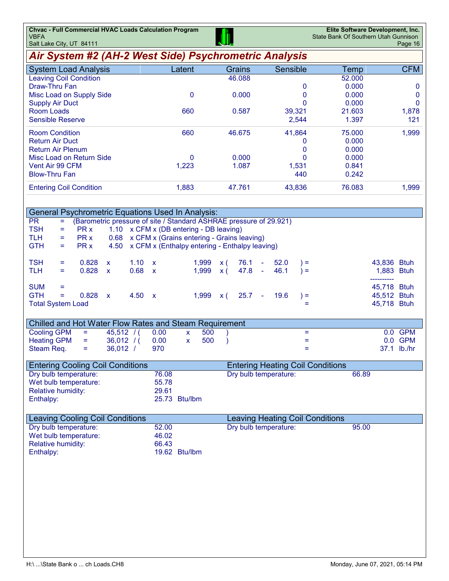| Chvac - Full Commercial HVAC Loads Calculation Program | Elite Software Development, Inc.     |
|--------------------------------------------------------|--------------------------------------|
| <b>VBFA</b>                                            | State Bank Of Southern Utah Gunnison |
| ا استار این City IIT R4111 ا $\sim$                    | $P$ ane 16                           |

| Salt Lake City, UT 84111                                 |                                                                    |       |                     | بالله                                          |                                         |        |             | Page 16     |
|----------------------------------------------------------|--------------------------------------------------------------------|-------|---------------------|------------------------------------------------|-----------------------------------------|--------|-------------|-------------|
| Air System #2 (AH-2 West Side) Psychrometric Analysis    |                                                                    |       |                     |                                                |                                         |        |             |             |
| <b>System Load Analysis</b>                              |                                                                    |       | Latent              | Grains                                         | Sensible                                | Temp   |             | <b>CFM</b>  |
| <b>Leaving Coil Condition</b>                            |                                                                    |       |                     | 46.088                                         |                                         | 52.000 |             |             |
| <b>Draw-Thru Fan</b>                                     |                                                                    |       |                     |                                                | 0                                       | 0.000  |             | $\mathbf 0$ |
| Misc Load on Supply Side                                 |                                                                    |       | 0                   | 0.000                                          | 0                                       | 0.000  |             | $\mathbf 0$ |
| <b>Supply Air Duct</b>                                   |                                                                    |       |                     |                                                | 0                                       | 0.000  |             | $\mathbf 0$ |
| <b>Room Loads</b>                                        |                                                                    |       | 660                 | 0.587                                          | 39,321                                  | 21.603 |             | 1,878       |
| <b>Sensible Reserve</b>                                  |                                                                    |       |                     |                                                | 2,544                                   | 1.397  |             | 121         |
| <b>Room Condition</b>                                    |                                                                    |       | 660                 | 46.675                                         | 41,864                                  | 75.000 |             | 1,999       |
| <b>Return Air Duct</b>                                   |                                                                    |       |                     |                                                | 0                                       | 0.000  |             |             |
| <b>Return Air Plenum</b>                                 |                                                                    |       |                     |                                                | 0                                       | 0.000  |             |             |
| Misc Load on Return Side                                 |                                                                    |       | 0                   | 0.000                                          | 0                                       | 0.000  |             |             |
| Vent Air 99 CFM                                          |                                                                    |       | 1,223               | 1.087                                          | 1,531                                   | 0.841  |             |             |
| <b>Blow-Thru Fan</b>                                     |                                                                    |       |                     |                                                | 440                                     | 0.242  |             |             |
| <b>Entering Coil Condition</b>                           |                                                                    |       | 1,883               | 47.761                                         | 43,836                                  | 76.083 |             | 1,999       |
|                                                          |                                                                    |       |                     |                                                |                                         |        |             |             |
|                                                          |                                                                    |       |                     |                                                |                                         |        |             |             |
| <b>General Psychrometric Equations Used In Analysis:</b> |                                                                    |       |                     |                                                |                                         |        |             |             |
| <b>PR</b><br>Ξ.                                          | (Barometric pressure of site / Standard ASHRAE pressure of 29.921) |       |                     |                                                |                                         |        |             |             |
| <b>TSH</b><br>PR x<br>Ξ                                  | 1.10 x CFM x (DB entering - DB leaving)                            |       |                     |                                                |                                         |        |             |             |
| <b>TLH</b><br>PR x<br>$=$                                | 0.68 x CFM x (Grains entering - Grains leaving)                    |       |                     |                                                |                                         |        |             |             |
| <b>GTH</b><br>PR x<br>$=$                                | 4.50                                                               |       |                     | x CFM x (Enthalpy entering - Enthalpy leaving) |                                         |        |             |             |
| <b>TSH</b><br>0.828<br>$=$                               | $1.10 \times$<br>X                                                 |       | 1,999               | 76.1<br>$\mathsf{x}$ (                         | 52.0<br>$) =$<br>$\sim$                 |        | 43,836 Btuh |             |
| 0.828<br><b>TLH</b><br>$=$                               | 0.68 x<br>$\mathbf{x}$                                             |       | 1,999               | x(                                             | 46.1<br>$47.8 -$<br>$) =$               |        | 1,883 Btuh  |             |
|                                                          |                                                                    |       |                     |                                                |                                         |        |             |             |
| <b>SUM</b><br>$=$                                        |                                                                    |       |                     |                                                |                                         |        | 45,718 Btuh |             |
| <b>GTH</b><br>0.828<br>Ξ.                                | 4.50 x<br>$\mathsf{x}$                                             |       | 1,999               | 25.7<br>x(                                     | 19.6<br>$\sim$<br>$) =$                 |        | 45,512 Btuh |             |
| <b>Total System Load</b>                                 |                                                                    |       |                     |                                                |                                         | Ξ      | 45,718 Btuh |             |
|                                                          |                                                                    |       |                     |                                                |                                         |        |             |             |
| Chilled and Hot Water Flow Rates and Steam Requirement   |                                                                    |       |                     |                                                |                                         |        |             |             |
| <b>Cooling GPM</b><br>$=$                                | $45,512$ /(                                                        | 0.00  | 500<br>$\mathsf{X}$ |                                                |                                         | $=$    |             | 0.0 GPM     |
| <b>Heating GPM</b><br>$\equiv$                           | $36,012$ /(                                                        | 0.00  | 500<br>$\mathsf{x}$ |                                                |                                         | Ξ      |             | 0.0 GPM     |
| Steam Req.<br>Ξ                                          | $36,012$ /                                                         | 970   |                     |                                                |                                         | Ξ      |             | 37.1 lb./hr |
|                                                          |                                                                    |       |                     |                                                |                                         |        |             |             |
| <b>Entering Cooling Coil Conditions</b>                  |                                                                    |       |                     |                                                | <b>Entering Heating Coil Conditions</b> |        |             |             |
| Dry bulb temperature:                                    |                                                                    | 76.08 |                     |                                                | Dry bulb temperature:                   | 66.89  |             |             |
| Wet bulb temperature:                                    |                                                                    | 55.78 |                     |                                                |                                         |        |             |             |
| <b>Relative humidity:</b>                                |                                                                    | 29.61 |                     |                                                |                                         |        |             |             |
| Enthalpy:                                                |                                                                    |       | 25.73 Btu/lbm       |                                                |                                         |        |             |             |
|                                                          |                                                                    |       |                     |                                                |                                         |        |             |             |
| <b>Leaving Cooling Coil Conditions</b>                   |                                                                    |       |                     |                                                | <b>Leaving Heating Coil Conditions</b>  |        |             |             |
| Dry bulb temperature:                                    |                                                                    | 52.00 |                     |                                                | Dry bulb temperature:                   | 95.00  |             |             |
| Wet bulb temperature:                                    |                                                                    | 46.02 |                     |                                                |                                         |        |             |             |
| <b>Relative humidity:</b>                                |                                                                    | 66.43 |                     |                                                |                                         |        |             |             |
| Enthalpy:                                                |                                                                    |       | 19.62 Btu/lbm       |                                                |                                         |        |             |             |
|                                                          |                                                                    |       |                     |                                                |                                         |        |             |             |
|                                                          |                                                                    |       |                     |                                                |                                         |        |             |             |
|                                                          |                                                                    |       |                     |                                                |                                         |        |             |             |
|                                                          |                                                                    |       |                     |                                                |                                         |        |             |             |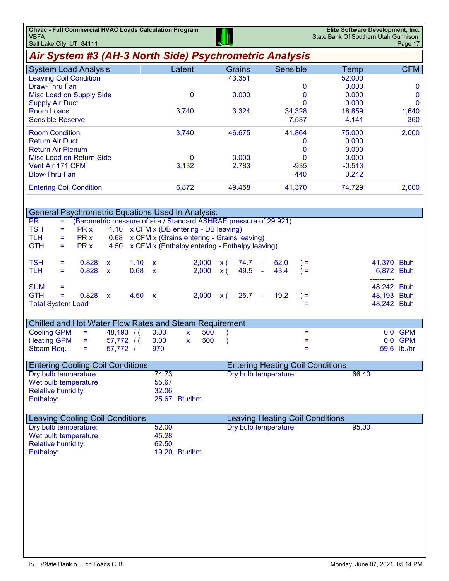| Air System #3 (AH-3 North Side) Psychrometric Analysis<br>Sensible<br><b>CFM</b><br>Latent<br><b>Grains</b><br><b>System Load Analysis</b><br>Temp<br>43.351<br><b>Leaving Coil Condition</b><br>52.000<br>Draw-Thru Fan<br>$\mathbf 0$<br>0.000<br>0<br>0<br>0.000<br>$\mathbf 0$<br>0.000<br>Misc Load on Supply Side<br>$\bf{0}$<br>$\Omega$<br>0.000<br>$\mathbf 0$<br><b>Supply Air Duct</b><br><b>Room Loads</b><br>3.324<br>18.859<br>3,740<br>34,328<br>1,640<br><b>Sensible Reserve</b><br>7,537<br>4.141<br>360<br>46.675<br>41,864<br>75,000<br>2,000<br><b>Room Condition</b><br>3,740<br><b>Return Air Duct</b><br>0.000<br>0<br>$\mathbf{0}$<br>0.000<br><b>Return Air Plenum</b><br>Misc Load on Return Side<br>0<br>0.000<br>$\mathbf{0}$<br>0.000<br>Vent Air 171 CFM<br>3,132<br>2.783<br>$-0.513$<br>$-935$<br><b>Blow-Thru Fan</b><br>440<br>0.242<br>6,872<br><b>Entering Coil Condition</b><br>49.458<br>41,370<br>74.729<br>2,000<br><b>General Psychrometric Equations Used In Analysis:</b> |
|----------------------------------------------------------------------------------------------------------------------------------------------------------------------------------------------------------------------------------------------------------------------------------------------------------------------------------------------------------------------------------------------------------------------------------------------------------------------------------------------------------------------------------------------------------------------------------------------------------------------------------------------------------------------------------------------------------------------------------------------------------------------------------------------------------------------------------------------------------------------------------------------------------------------------------------------------------------------------------------------------------------------|
|                                                                                                                                                                                                                                                                                                                                                                                                                                                                                                                                                                                                                                                                                                                                                                                                                                                                                                                                                                                                                      |
|                                                                                                                                                                                                                                                                                                                                                                                                                                                                                                                                                                                                                                                                                                                                                                                                                                                                                                                                                                                                                      |
|                                                                                                                                                                                                                                                                                                                                                                                                                                                                                                                                                                                                                                                                                                                                                                                                                                                                                                                                                                                                                      |
|                                                                                                                                                                                                                                                                                                                                                                                                                                                                                                                                                                                                                                                                                                                                                                                                                                                                                                                                                                                                                      |
|                                                                                                                                                                                                                                                                                                                                                                                                                                                                                                                                                                                                                                                                                                                                                                                                                                                                                                                                                                                                                      |
|                                                                                                                                                                                                                                                                                                                                                                                                                                                                                                                                                                                                                                                                                                                                                                                                                                                                                                                                                                                                                      |
|                                                                                                                                                                                                                                                                                                                                                                                                                                                                                                                                                                                                                                                                                                                                                                                                                                                                                                                                                                                                                      |
|                                                                                                                                                                                                                                                                                                                                                                                                                                                                                                                                                                                                                                                                                                                                                                                                                                                                                                                                                                                                                      |
|                                                                                                                                                                                                                                                                                                                                                                                                                                                                                                                                                                                                                                                                                                                                                                                                                                                                                                                                                                                                                      |
|                                                                                                                                                                                                                                                                                                                                                                                                                                                                                                                                                                                                                                                                                                                                                                                                                                                                                                                                                                                                                      |
|                                                                                                                                                                                                                                                                                                                                                                                                                                                                                                                                                                                                                                                                                                                                                                                                                                                                                                                                                                                                                      |
|                                                                                                                                                                                                                                                                                                                                                                                                                                                                                                                                                                                                                                                                                                                                                                                                                                                                                                                                                                                                                      |
|                                                                                                                                                                                                                                                                                                                                                                                                                                                                                                                                                                                                                                                                                                                                                                                                                                                                                                                                                                                                                      |
|                                                                                                                                                                                                                                                                                                                                                                                                                                                                                                                                                                                                                                                                                                                                                                                                                                                                                                                                                                                                                      |
|                                                                                                                                                                                                                                                                                                                                                                                                                                                                                                                                                                                                                                                                                                                                                                                                                                                                                                                                                                                                                      |
|                                                                                                                                                                                                                                                                                                                                                                                                                                                                                                                                                                                                                                                                                                                                                                                                                                                                                                                                                                                                                      |
|                                                                                                                                                                                                                                                                                                                                                                                                                                                                                                                                                                                                                                                                                                                                                                                                                                                                                                                                                                                                                      |
| (Barometric pressure of site / Standard ASHRAE pressure of 29.921)<br><b>PR</b><br>$=$                                                                                                                                                                                                                                                                                                                                                                                                                                                                                                                                                                                                                                                                                                                                                                                                                                                                                                                               |
| <b>TSH</b><br>PR x<br>1.10 x CFM x (DB entering - DB leaving)<br>Ξ                                                                                                                                                                                                                                                                                                                                                                                                                                                                                                                                                                                                                                                                                                                                                                                                                                                                                                                                                   |
| x CFM x (Grains entering - Grains leaving)<br>TLH.<br>PR x<br>0.68<br>Ξ                                                                                                                                                                                                                                                                                                                                                                                                                                                                                                                                                                                                                                                                                                                                                                                                                                                                                                                                              |
| <b>GTH</b><br>PR x<br>x CFM x (Enthalpy entering - Enthalpy leaving)<br>4.50<br>$=$                                                                                                                                                                                                                                                                                                                                                                                                                                                                                                                                                                                                                                                                                                                                                                                                                                                                                                                                  |
| 1.10<br>TSH<br>0.828<br>52.0<br>41,370 Btuh<br>2.000<br>x(<br>74.7<br>$=$<br>$\mathsf{x}$<br>$\mathsf{x}$<br>$\sim$<br>$) =$                                                                                                                                                                                                                                                                                                                                                                                                                                                                                                                                                                                                                                                                                                                                                                                                                                                                                         |
| 0.828<br>0.68<br>2,000<br>49.5<br>43.4<br>TLH<br>6,872 Btuh<br>$\mathsf{x}$<br>$\mathsf{x}$<br>$\mathsf{x}$ (<br>$\omega$<br>$) =$<br>$=$                                                                                                                                                                                                                                                                                                                                                                                                                                                                                                                                                                                                                                                                                                                                                                                                                                                                            |
| -----------                                                                                                                                                                                                                                                                                                                                                                                                                                                                                                                                                                                                                                                                                                                                                                                                                                                                                                                                                                                                          |
| <b>SUM</b><br>48,242 Btuh<br>Ξ                                                                                                                                                                                                                                                                                                                                                                                                                                                                                                                                                                                                                                                                                                                                                                                                                                                                                                                                                                                       |
| <b>GTH</b><br>$=$<br>0.828<br>4.50<br>2,000<br>25.7<br>19.2<br>48,193 Btuh<br>x(<br>$) =$<br>X<br>$\mathbf{x}$<br>$\sim$                                                                                                                                                                                                                                                                                                                                                                                                                                                                                                                                                                                                                                                                                                                                                                                                                                                                                             |
| <b>Total System Load</b><br>48,242 Btuh<br>Ξ                                                                                                                                                                                                                                                                                                                                                                                                                                                                                                                                                                                                                                                                                                                                                                                                                                                                                                                                                                         |
|                                                                                                                                                                                                                                                                                                                                                                                                                                                                                                                                                                                                                                                                                                                                                                                                                                                                                                                                                                                                                      |
| Chilled and Hot Water Flow Rates and Steam Requirement                                                                                                                                                                                                                                                                                                                                                                                                                                                                                                                                                                                                                                                                                                                                                                                                                                                                                                                                                               |
| <b>Cooling GPM</b><br>48,193 / (<br>0.00<br>0.0 GPM<br>$\equiv$<br>500<br>$=$<br>X                                                                                                                                                                                                                                                                                                                                                                                                                                                                                                                                                                                                                                                                                                                                                                                                                                                                                                                                   |
| <b>Heating GPM</b><br>500<br>0.0 GPM<br>57,772/<br>0.00<br>$=$<br>$\lambda$<br>Ξ<br>X                                                                                                                                                                                                                                                                                                                                                                                                                                                                                                                                                                                                                                                                                                                                                                                                                                                                                                                                |
| Steam Req.<br>57,772 /<br>970<br>59.6 lb./hr<br>$=$<br>Ξ                                                                                                                                                                                                                                                                                                                                                                                                                                                                                                                                                                                                                                                                                                                                                                                                                                                                                                                                                             |
| <b>Entering Cooling Coil Conditions</b><br><b>Entering Heating Coil Conditions</b>                                                                                                                                                                                                                                                                                                                                                                                                                                                                                                                                                                                                                                                                                                                                                                                                                                                                                                                                   |
| Dry bulb temperature:<br>74.73<br>Dry bulb temperature:<br>66.40                                                                                                                                                                                                                                                                                                                                                                                                                                                                                                                                                                                                                                                                                                                                                                                                                                                                                                                                                     |
| Wet bulb temperature:<br>55.67                                                                                                                                                                                                                                                                                                                                                                                                                                                                                                                                                                                                                                                                                                                                                                                                                                                                                                                                                                                       |
| Relative humidity:<br>32.06                                                                                                                                                                                                                                                                                                                                                                                                                                                                                                                                                                                                                                                                                                                                                                                                                                                                                                                                                                                          |
| Enthalpy:<br>25.67 Btu/lbm                                                                                                                                                                                                                                                                                                                                                                                                                                                                                                                                                                                                                                                                                                                                                                                                                                                                                                                                                                                           |

| Leaving Cooling Coil Conditions |               | Leaving Heating Coil Conditions |       |  |  |
|---------------------------------|---------------|---------------------------------|-------|--|--|
| Dry bulb temperature:           | 52.00         | Dry bulb temperature:           | 95.00 |  |  |
| Wet bulb temperature:           | 45.28         |                                 |       |  |  |
| Relative humidity:              | 62.50         |                                 |       |  |  |
| Enthalpy:                       | 19.20 Btu/lbm |                                 |       |  |  |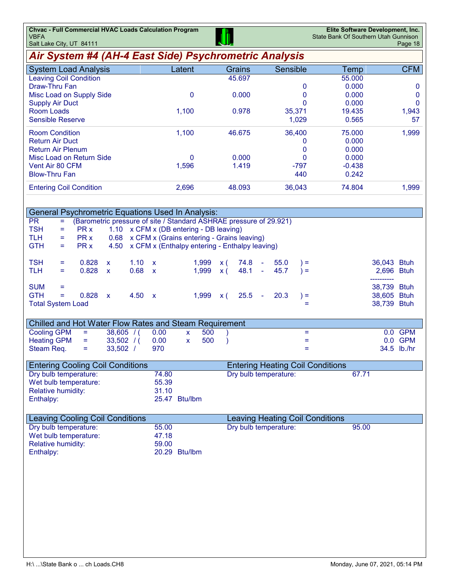| <b>Chvac - Full Commercial HVAC Loads Calculation Program</b> |            | Elite Software Development, Inc.     |
|---------------------------------------------------------------|------------|--------------------------------------|
| I VBFA                                                        | <b>III</b> | State Bank Of Southern Utah Gunnison |
| $\overline{\phantom{a}}$ Salt Lake City, LIT, 84111           |            | $P$ ane 18                           |

| Salt Lake City, UT 84111                                                            |                                                                    |                        |                                           | واللعاة                                        |                                                                 |          |             | Page 18      |
|-------------------------------------------------------------------------------------|--------------------------------------------------------------------|------------------------|-------------------------------------------|------------------------------------------------|-----------------------------------------------------------------|----------|-------------|--------------|
| Air System #4 (AH-4 East Side) Psychrometric Analysis                               |                                                                    |                        |                                           |                                                |                                                                 |          |             |              |
| <b>System Load Analysis</b>                                                         |                                                                    |                        | Latent                                    | Grains                                         | Sensible                                                        | Temp     |             | <b>CFM</b>   |
| <b>Leaving Coil Condition</b>                                                       |                                                                    |                        |                                           | 45.697                                         |                                                                 | 55.000   |             |              |
| Draw-Thru Fan                                                                       |                                                                    |                        |                                           |                                                | 0                                                               | 0.000    |             | 0            |
| Misc Load on Supply Side                                                            |                                                                    |                        | $\mathbf 0$                               | 0.000                                          | 0                                                               | 0.000    |             | $\mathbf 0$  |
| <b>Supply Air Duct</b>                                                              |                                                                    |                        |                                           |                                                | 0                                                               | 0.000    |             | $\mathbf{0}$ |
| <b>Room Loads</b>                                                                   |                                                                    |                        | 1,100                                     | 0.978                                          | 35,371                                                          | 19.435   |             | 1,943        |
| <b>Sensible Reserve</b>                                                             |                                                                    |                        |                                           |                                                | 1,029                                                           | 0.565    |             | 57           |
| <b>Room Condition</b>                                                               |                                                                    |                        | 1,100                                     | 46.675                                         | 36,400                                                          | 75.000   |             | 1,999        |
| <b>Return Air Duct</b>                                                              |                                                                    |                        |                                           |                                                | 0                                                               | 0.000    |             |              |
| <b>Return Air Plenum</b>                                                            |                                                                    |                        |                                           |                                                | 0                                                               | 0.000    |             |              |
| Misc Load on Return Side                                                            |                                                                    |                        | 0                                         | 0.000                                          | $\mathbf 0$                                                     | 0.000    |             |              |
| Vent Air 80 CFM                                                                     |                                                                    |                        | 1,596                                     | 1.419                                          | $-797$                                                          | $-0.438$ |             |              |
| <b>Blow-Thru Fan</b>                                                                |                                                                    |                        |                                           |                                                | 440                                                             | 0.242    |             |              |
| <b>Entering Coil Condition</b>                                                      |                                                                    |                        | 2,696                                     | 48.093                                         | 36,043                                                          | 74.804   |             | 1,999        |
|                                                                                     |                                                                    |                        |                                           |                                                |                                                                 |          |             |              |
| <b>General Psychrometric Equations Used In Analysis:</b>                            |                                                                    |                        |                                           |                                                |                                                                 |          |             |              |
| <b>PR</b><br>Ξ                                                                      | (Barometric pressure of site / Standard ASHRAE pressure of 29.921) |                        |                                           |                                                |                                                                 |          |             |              |
| <b>TSH</b><br>PR x<br>$=$                                                           | 1.10 x CFM x (DB entering - DB leaving)                            |                        |                                           |                                                |                                                                 |          |             |              |
| PR x<br><b>TLH</b><br>Ξ                                                             | 0.68 x CFM x (Grains entering - Grains leaving)                    |                        |                                           |                                                |                                                                 |          |             |              |
| <b>GTH</b><br>PR x<br>÷,                                                            | 4.50                                                               |                        |                                           | x CFM x (Enthalpy entering - Enthalpy leaving) |                                                                 |          |             |              |
| <b>TSH</b><br>0.828<br>Ξ                                                            | 1.10<br>X                                                          | X                      | 1,999                                     | 74.8<br>x(                                     | 55.0<br>$\bar{\phantom{a}}$<br>$) =$                            |          | 36,043 Btuh |              |
| <b>TLH</b><br>0.828<br>Ξ                                                            | 0.68<br>$\mathsf{x}$                                               | $\mathbf{x}$           | 1,999                                     | 48.1<br>x(                                     | 45.7<br>$) =$<br>$\sim$                                         |          | 2,696 Btuh  |              |
|                                                                                     |                                                                    |                        |                                           |                                                |                                                                 |          | ----------  |              |
| <b>SUM</b><br>Ξ                                                                     |                                                                    |                        |                                           |                                                |                                                                 |          | 38,739 Btuh |              |
| <b>GTH</b><br>÷,<br>0.828                                                           | 4.50 x<br>$\mathsf{x}$                                             |                        | 1,999                                     | 25.5<br><b>x</b> (                             | 20.3<br>$) =$<br>$\overline{\phantom{a}}$                       |          | 38,605 Btuh |              |
| <b>Total System Load</b>                                                            |                                                                    |                        |                                           |                                                | Ξ.                                                              |          | 38,739 Btuh |              |
|                                                                                     |                                                                    |                        |                                           |                                                |                                                                 |          |             |              |
| Chilled and Hot Water Flow Rates and Steam Requirement<br><b>Cooling GPM</b><br>$=$ | $38,605$ /(                                                        | 0.00                   | 500                                       |                                                | Ξ                                                               |          |             | 0.0 GPM      |
| <b>Heating GPM</b><br>$=$                                                           | $33,502$ /(                                                        | 0.00                   | $\pmb{\mathsf{X}}$<br>500<br>$\mathbf{x}$ |                                                | Ξ                                                               |          |             | 0.0 GPM      |
| Steam Req.<br>$=$                                                                   | $33,502$ /                                                         | 970                    |                                           |                                                | $\equiv$                                                        |          |             | 34.5 lb./hr  |
|                                                                                     |                                                                    |                        |                                           |                                                |                                                                 |          |             |              |
| <b>Entering Cooling Coil Conditions</b>                                             |                                                                    |                        |                                           |                                                | <b>Entering Heating Coil Conditions</b>                         |          |             |              |
| Dry bulb temperature:                                                               |                                                                    | 74.80                  |                                           |                                                | Dry bulb temperature:                                           | 67.71    |             |              |
| Wet bulb temperature:                                                               |                                                                    | 55.39                  |                                           |                                                |                                                                 |          |             |              |
| <b>Relative humidity:</b>                                                           |                                                                    | 31.10                  |                                           |                                                |                                                                 |          |             |              |
| Enthalpy:                                                                           |                                                                    | 25.47 Btu/lbm          |                                           |                                                |                                                                 |          |             |              |
|                                                                                     |                                                                    |                        |                                           |                                                |                                                                 |          |             |              |
| <b>Leaving Cooling Coil Conditions</b><br>Dry bulb temperature:                     |                                                                    |                        |                                           |                                                | <b>Leaving Heating Coil Conditions</b><br>Dry bulb temperature: | 95.00    |             |              |
| Wet bulb temperature:                                                               |                                                                    | 55.00                  |                                           |                                                |                                                                 |          |             |              |
|                                                                                     |                                                                    | 47.18                  |                                           |                                                |                                                                 |          |             |              |
| <b>Relative humidity:</b>                                                           |                                                                    | 59.00<br>20.29 Btu/lbm |                                           |                                                |                                                                 |          |             |              |
| Enthalpy:                                                                           |                                                                    |                        |                                           |                                                |                                                                 |          |             |              |
|                                                                                     |                                                                    |                        |                                           |                                                |                                                                 |          |             |              |
|                                                                                     |                                                                    |                        |                                           |                                                |                                                                 |          |             |              |
|                                                                                     |                                                                    |                        |                                           |                                                |                                                                 |          |             |              |
|                                                                                     |                                                                    |                        |                                           |                                                |                                                                 |          |             |              |
|                                                                                     |                                                                    |                        |                                           |                                                |                                                                 |          |             |              |